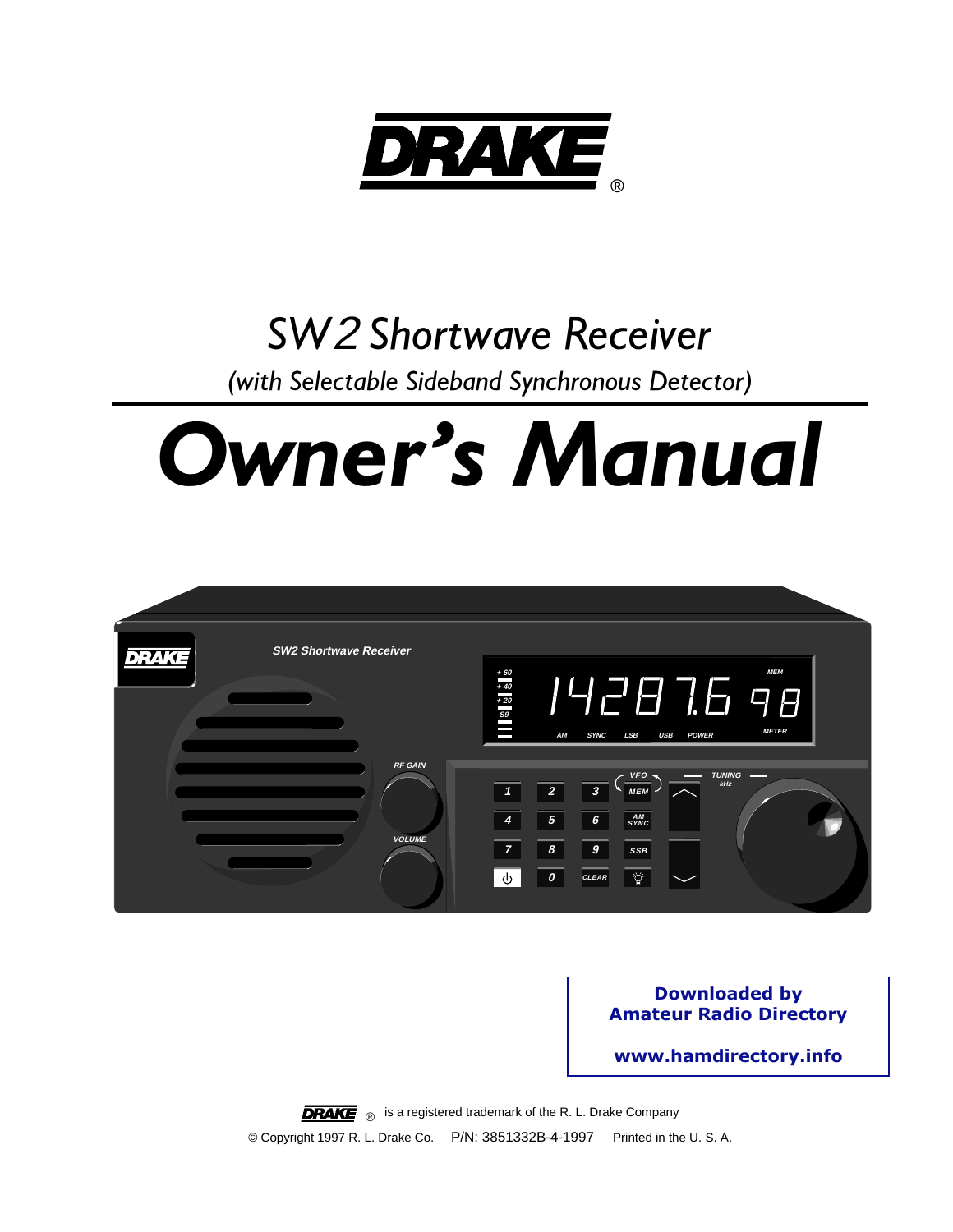

## SW2 Shortwave Receiver

(with Selectable Sideband Synchronous Detector)

# Owner's Manual

| <b>SW2 Shortwave Receiver</b> | MEM                                                                                                                                                                                                                                       |
|-------------------------------|-------------------------------------------------------------------------------------------------------------------------------------------------------------------------------------------------------------------------------------------|
|                               | $\begin{array}{r}\n+60 \\ \hline\n+40 \\ \hline\n\end{array}\n\qquad\n\begin{array}{r}\n\hline\n+20 \\ \hline\n\end{array}$<br>14287.6 98<br>Γ<br><b>METER</b><br>AM<br><b>SYNC</b><br><b>LSB</b><br><b>USB</b><br><b>POWER</b><br>$\sim$ |
| <b>RF GAIN</b>                | <b>TUNING</b><br>VFO<br>$\sim$ $\sim$<br>kHz<br>3<br><b>MEM</b><br>s <sub>YNC</sub><br>5                                                                                                                                                  |
| <b>VOLUME</b>                 | 6<br>9<br>8<br>SSB<br>$\breve{\mathbf{Q}}$<br>n<br><b>CLEAR</b><br>- (1)                                                                                                                                                                  |

**Downloaded by Amateur Radio Directory** 

**www.hamdirectory.info**

**DRAKE**  $_{\text{R}}$  is a registered trademark of the R. L. Drake Company © Copyright 1997 R. L. Drake Co. P/N: 3851332B-4-1997 Printed in the U. S. A.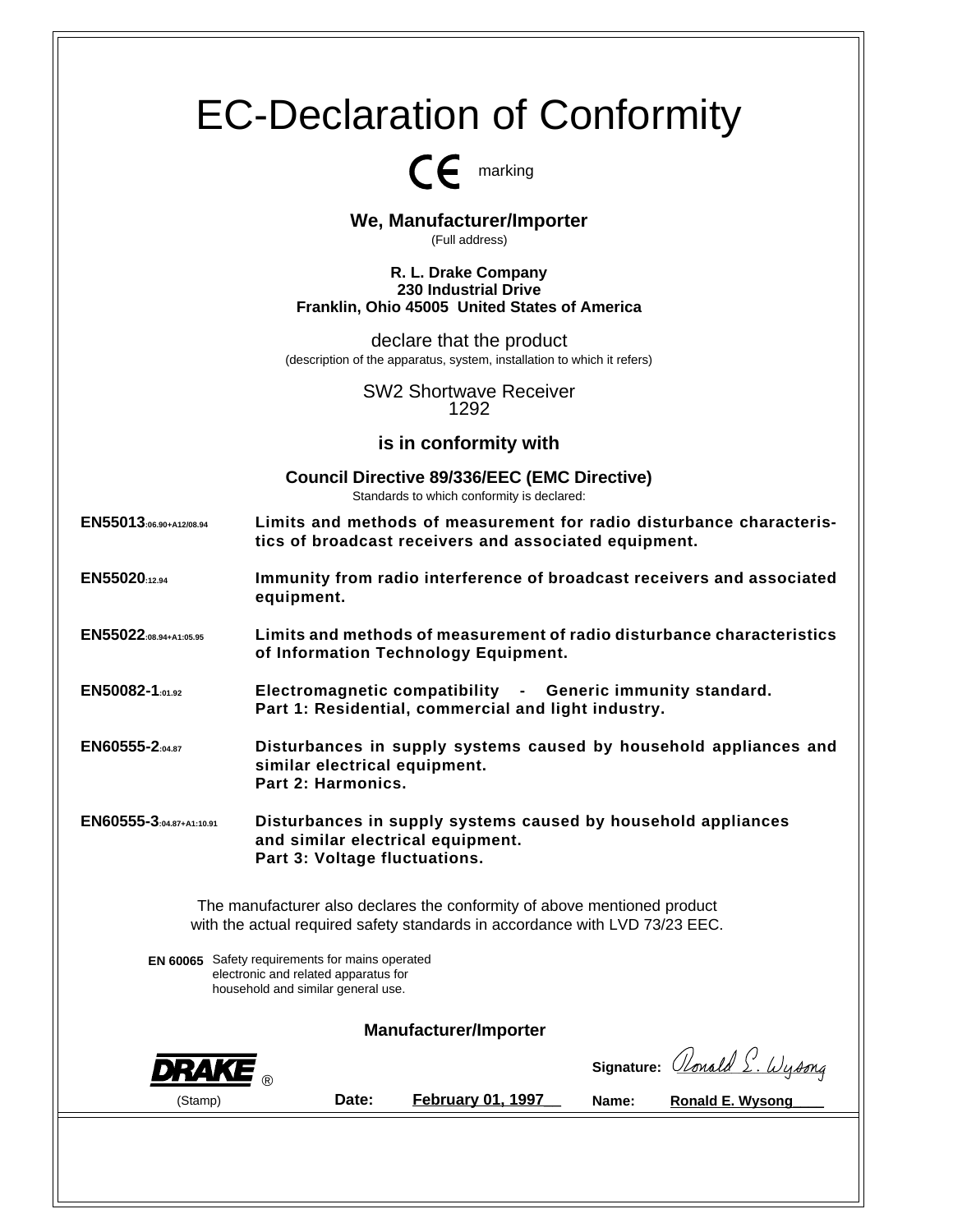| <b>EC-Declaration of Conformity</b>                                                                                                                             |                                                                                                                               |  |  |  |
|-----------------------------------------------------------------------------------------------------------------------------------------------------------------|-------------------------------------------------------------------------------------------------------------------------------|--|--|--|
| $\mathsf{CE}$ marking                                                                                                                                           |                                                                                                                               |  |  |  |
| We, Manufacturer/Importer<br>(Full address)                                                                                                                     |                                                                                                                               |  |  |  |
|                                                                                                                                                                 | R. L. Drake Company<br><b>230 Industrial Drive</b><br>Franklin, Ohio 45005 United States of America                           |  |  |  |
|                                                                                                                                                                 | declare that the product<br>(description of the apparatus, system, installation to which it refers)                           |  |  |  |
|                                                                                                                                                                 | <b>SW2 Shortwave Receiver</b><br>1292                                                                                         |  |  |  |
|                                                                                                                                                                 | is in conformity with                                                                                                         |  |  |  |
|                                                                                                                                                                 | <b>Council Directive 89/336/EEC (EMC Directive)</b><br>Standards to which conformity is declared:                             |  |  |  |
| EN55013:06.90+A12/08.94                                                                                                                                         | Limits and methods of measurement for radio disturbance characteris-<br>tics of broadcast receivers and associated equipment. |  |  |  |
| EN55020:12.94                                                                                                                                                   | Immunity from radio interference of broadcast receivers and associated<br>equipment.                                          |  |  |  |
| EN55022:08.94+A1:05.95                                                                                                                                          | Limits and methods of measurement of radio disturbance characteristics<br>of Information Technology Equipment.                |  |  |  |
| EN50082-1:01.92                                                                                                                                                 | Electromagnetic compatibility - Generic immunity standard.<br>Part 1: Residential, commercial and light industry.             |  |  |  |
| EN60555-2.04.87<br>Disturbances in supply systems caused by household appliances and<br>similar electrical equipment.<br>Part 2: Harmonics.                     |                                                                                                                               |  |  |  |
| EN60555-3:04.87+A1:10.91<br>Disturbances in supply systems caused by household appliances<br>and similar electrical equipment.<br>Part 3: Voltage fluctuations. |                                                                                                                               |  |  |  |
| The manufacturer also declares the conformity of above mentioned product<br>with the actual required safety standards in accordance with LVD 73/23 EEC.         |                                                                                                                               |  |  |  |
| <b>EN 60065</b> Safety requirements for mains operated<br>electronic and related apparatus for<br>household and similar general use.                            |                                                                                                                               |  |  |  |
| <b>Manufacturer/Importer</b>                                                                                                                                    |                                                                                                                               |  |  |  |
|                                                                                                                                                                 | Signature: $\mathcal{Q}_{\text{dual}}$ $\Omega$ . Wysong                                                                      |  |  |  |
| (Stamp)                                                                                                                                                         | <b>February 01, 1997</b><br>Date:<br>Name:<br><b>Ronald E. Wysong</b>                                                         |  |  |  |
|                                                                                                                                                                 |                                                                                                                               |  |  |  |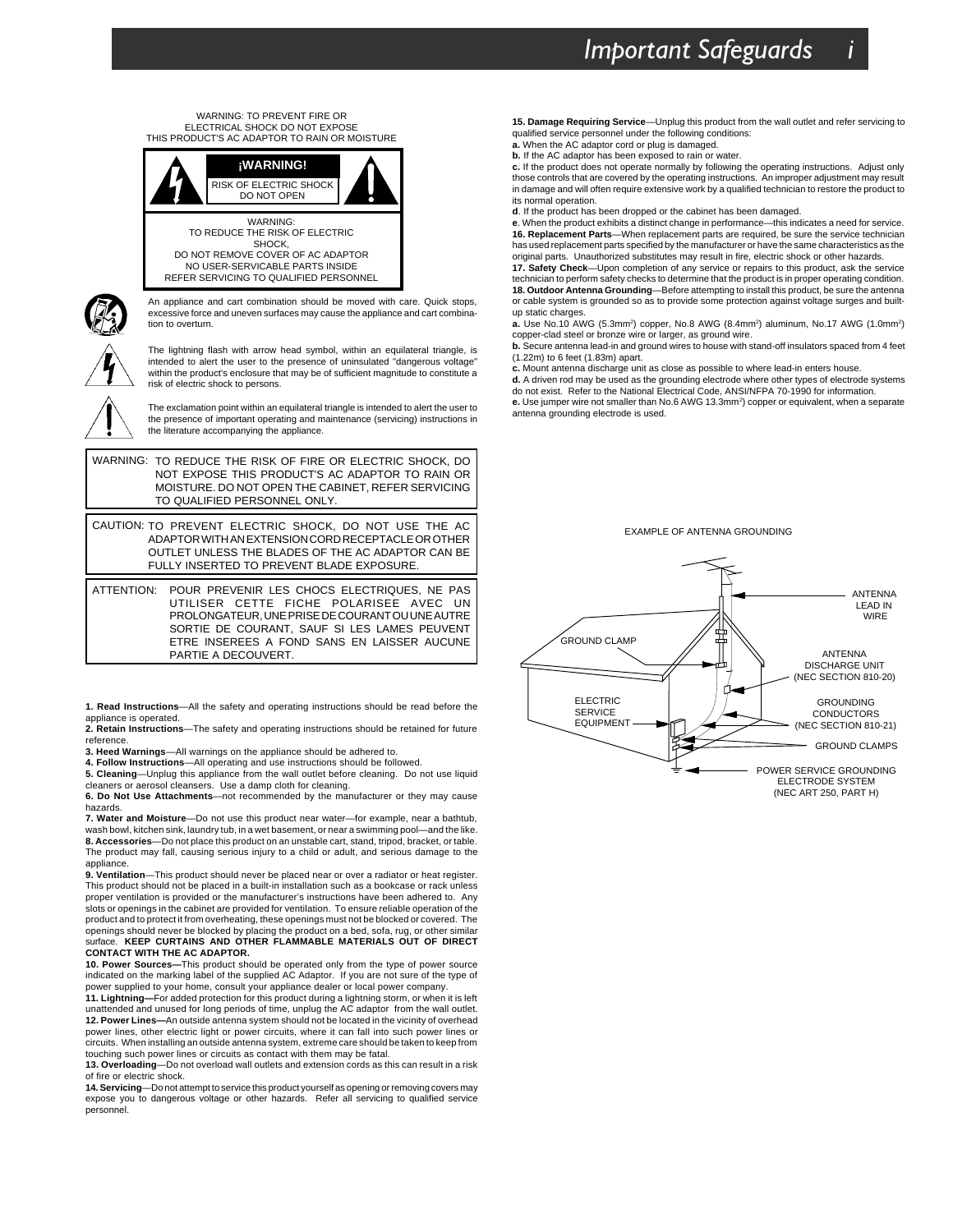#### WARNING: TO PREVENT FIRE OR ELECTRICAL SHOCK DO NOT EXPOSE THIS PRODUCT'S AC ADAPTOR TO RAIN OR MOISTURE



SHOCK, DO NOT REMOVE COVER OF AC ADAPTOR NO USER-SERVICABLE PARTS INSIDE REFER SERVICING TO QUALIFIED PERSONNEL



An appliance and cart combination should be moved with care. Quick stops, excessive force and uneven surfaces may cause the appliance and cart combination to overturn.



The lightning flash with arrow head symbol, within an equilateral triangle, is intended to alert the user to the presence of uninsulated "dangerous voltage" within the product's enclosure that may be of sufficient magnitude to constitute a risk of electric shock to persons.

The exclamation point within an equilateral triangle is intended to alert the user to the presence of important operating and maintenance (servicing) instructions in the literature accompanying the appliance.

TO REDUCE THE RISK OF FIRE OR ELECTRIC SHOCK, DO NOT EXPOSE THIS PRODUCT'S AC ADAPTOR TO RAIN OR MOISTURE. DO NOT OPEN THE CABINET, REFER SERVICING TO QUALIFIED PERSONNEL ONLY. WARNING:

CAUTION: TO PREVENT ELECTRIC SHOCK, DO NOT USE THE AC ADAPTOR WITH AN EXTENSION CORD RECEPTACLE OR OTHER OUTLET UNLESS THE BLADES OF THE AC ADAPTOR CAN BE FULLY INSERTED TO PREVENT BLADE EXPOSURE.

POUR PREVENIR LES CHOCS ELECTRIQUES, NE PAS UTILISER CETTE FICHE POLARISEE AVEC UN PROLONGATEUR, UNE PRISE DE COURANT OU UNE AUTRE SORTIE DE COURANT, SAUF SI LES LAMES PEUVENT ETRE INSEREES A FOND SANS EN LAISSER AUCUNE PARTIE A DECOUVERT ATTENTION:

**1. Read Instructions**—All the safety and operating instructions should be read before the appliance is operated.

**2. Retain Instructions**—The safety and operating instructions should be retained for future reference.

**3. Heed Warnings**—All warnings on the appliance should be adhered to.

**4. Follow Instructions**—All operating and use instructions should be followed.

**5. Cleaning**—Unplug this appliance from the wall outlet before cleaning. Do not use liquid cleaners or aerosol cleansers. Use a damp cloth for cleaning.

**6. Do Not Use Attachments**—not recommended by the manufacturer or they may cause hazards.

**7. Water and Moisture**—Do not use this product near water—for example, near a bathtub, wash bowl, kitchen sink, laundry tub, in a wet basement, or near a swimming pool—and the like. **8. Accessories**—Do not place this product on an unstable cart, stand, tripod, bracket, or table. The product may fall, causing serious injury to a child or adult, and serious damage to the appliance.

**9. Ventilation**—This product should never be placed near or over a radiator or heat register. This product should not be placed in a built-in installation such as a bookcase or rack unless proper ventilation is provided or the manufacturer's instructions have been adhered to. Any slots or openings in the cabinet are provided for ventilation. To ensure reliable operation of the product and to protect it from overheating, these openings must not be blocked or covered. The openings should never be blocked by placing the product on a bed, sofa, rug, or other similar surface. **KEEP CURTAINS AND OTHER FLAMMABLE MATERIALS OUT OF DIRECT CONTACT WITH THE AC ADAPTOR.**

**10. Power Sources—**This product should be operated only from the type of power source indicated on the marking label of the supplied AC Adaptor. If you are not sure of the type of power supplied to your home, consult your appliance dealer or local power company.

**11. Lightning—**For added protection for this product during a lightning storm, or when it is left unattended and unused for long periods of time, unplug the AC adaptor from the wall outlet. **12. Power Lines—**An outside antenna system should not be located in the vicinity of overhead power lines, other electric light or power circuits, where it can fall into such power lines or circuits. When installing an outside antenna system, extreme care should be taken to keep from touching such power lines or circuits as contact with them may be fatal.

**13. Overloading**—Do not overload wall outlets and extension cords as this can result in a risk of fire or electric shock.

**14. Servicing**—Do not attempt to service this product yourself as opening or removing covers may expose you to dangerous voltage or other hazards. Refer all servicing to qualified service personnel.

**15. Damage Requiring Service**—Unplug this product from the wall outlet and refer servicing to qualified service personnel under the following conditions:

**a.** When the AC adaptor cord or plug is damaged.

**b.** If the AC adaptor has been exposed to rain or water.

**c.** If the product does not operate normally by following the operating instructions. Adjust only those controls that are covered by the operating instructions. An improper adjustment may result in damage and will often require extensive work by a qualified technician to restore the product to its normal operation.

**d**. If the product has been dropped or the cabinet has been damaged.

**e**. When the product exhibits a distinct change in performance—this indicates a need for service. **16. Replacement Parts**—When replacement parts are required, be sure the service technician has used replacement parts specified by the manufacturer or have the same characteristics as the original parts. Unauthorized substitutes may result in fire, electric shock or other hazards. **17. Safety Check**—Upon completion of any service or repairs to this product, ask the service

technician to perform safety checks to determine that the product is in proper operating condition. **18. Outdoor Antenna Grounding**—Before attempting to install this product, be sure the antenna or cable system is grounded so as to provide some protection against voltage surges and builtup static charges.

**a.** Use No.10 AWG (5.3mm2) copper, No.8 AWG (8.4mm2) aluminum, No.17 AWG (1.0mm2) copper-clad steel or bronze wire or larger, as ground wire.

**b.** Secure antenna lead-in and ground wires to house with stand-off insulators spaced from 4 feet (1.22m) to 6 feet (1.83m) apart.

**c.** Mount antenna discharge unit as close as possible to where lead-in enters house.

**d.** A driven rod may be used as the grounding electrode where other types of electrode systems do not exist. Refer to the National Electrical Code, ANSI/NFPA 70-1990 for information. **e.** Use jumper wire not smaller than No.6 AWG 13.3mm2 ) copper or equivalent, when a separate antenna grounding electrode is used.

EXAMPLE OF ANTENNA GROUNDING

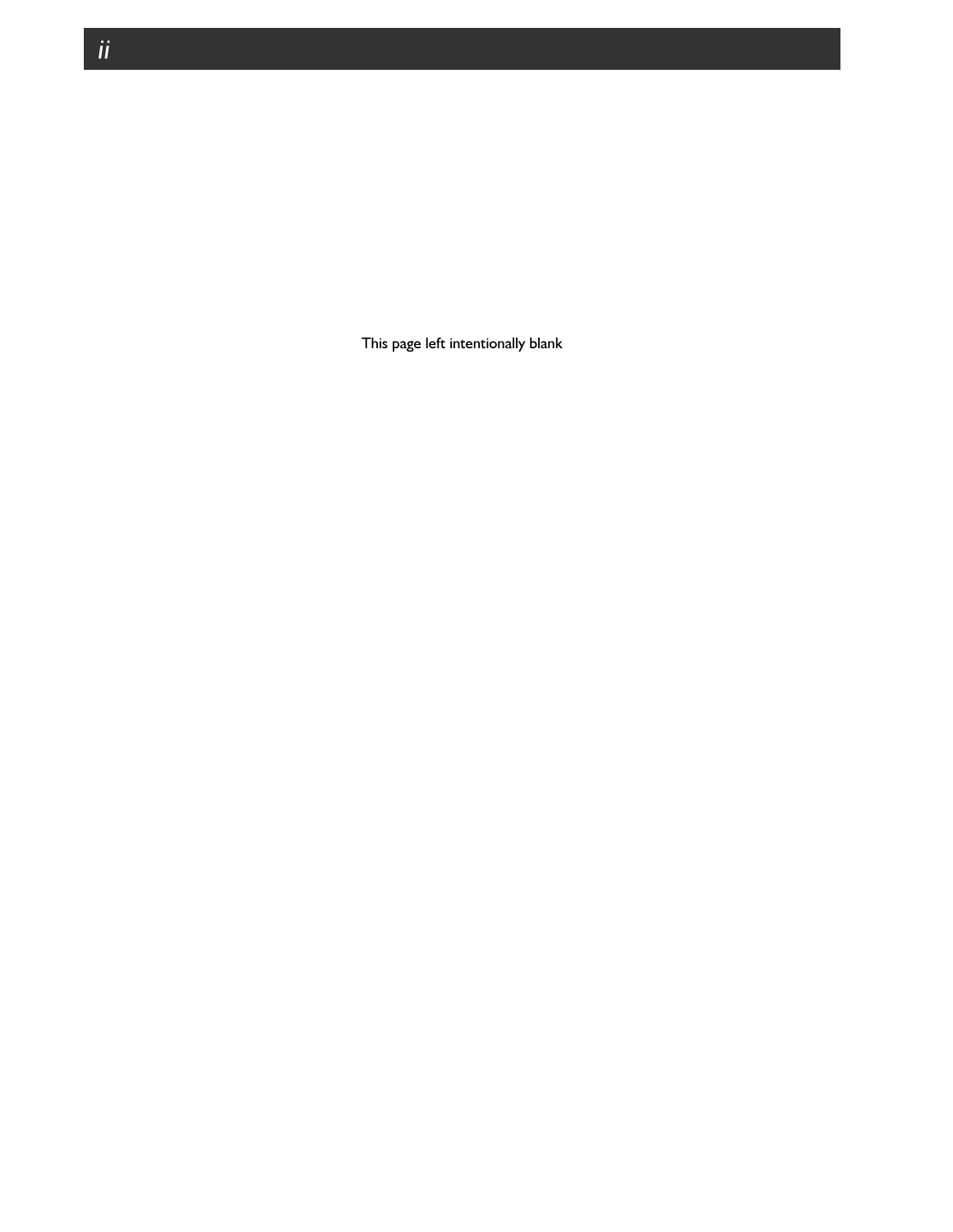This page left intentionally blank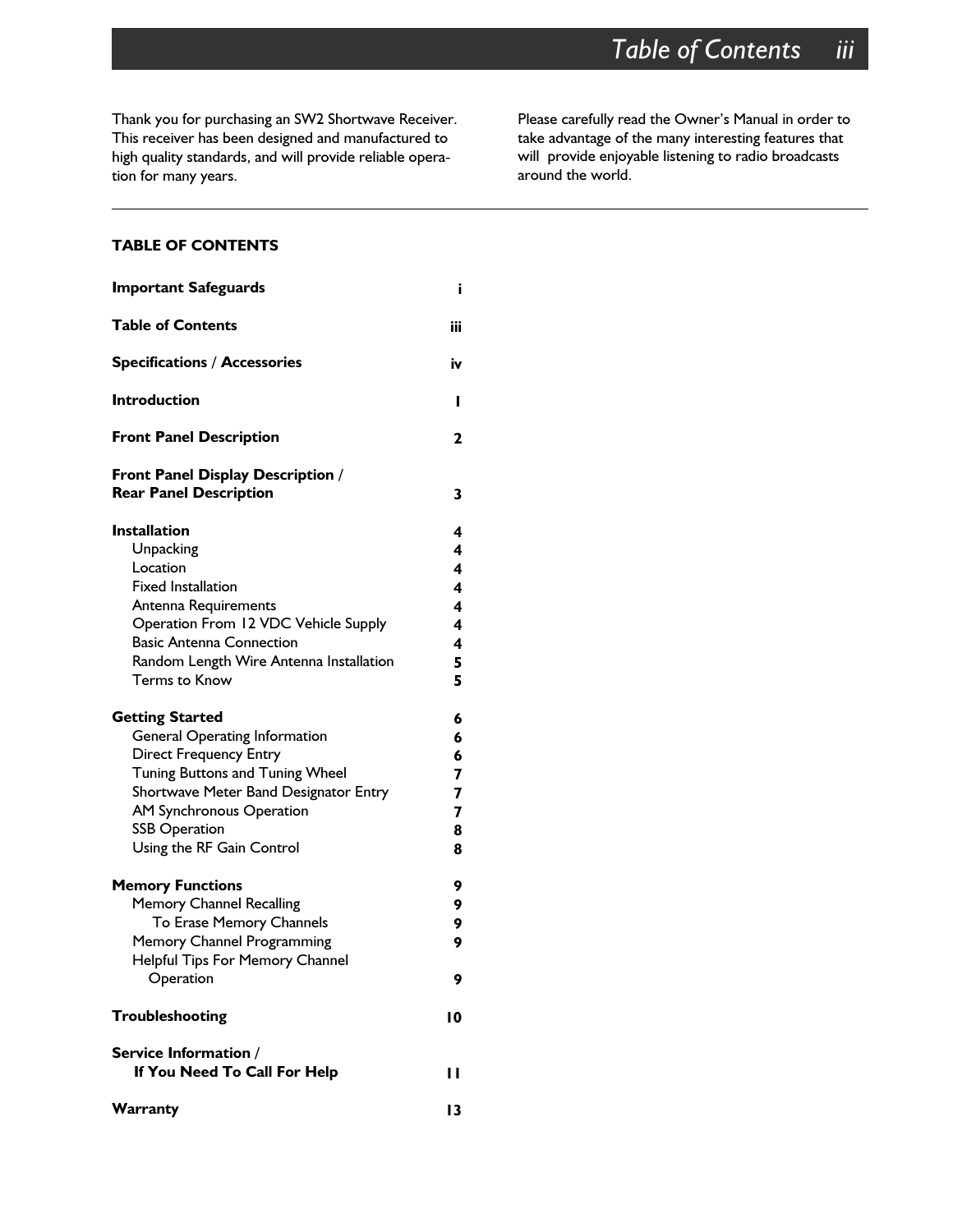Thank you for purchasing an SW2 Shortwave Receiver. This receiver has been designed and manufactured to high quality standards, and will provide reliable operation for many years.

Please carefully read the Owner's Manual in order to take advantage of the many interesting features that will provide enjoyable listening to radio broadcasts around the world.

#### TABLE OF CONTENTS

| <b>Important Safeguards</b>                                                                                                                                                                                                                                  | i                                         |
|--------------------------------------------------------------------------------------------------------------------------------------------------------------------------------------------------------------------------------------------------------------|-------------------------------------------|
| <b>Table of Contents</b>                                                                                                                                                                                                                                     | iii                                       |
| <b>Specifications / Accessories</b>                                                                                                                                                                                                                          | iv                                        |
| <b>Introduction</b>                                                                                                                                                                                                                                          | ı                                         |
| <b>Front Panel Description</b>                                                                                                                                                                                                                               | 2                                         |
| <b>Front Panel Display Description /</b><br><b>Rear Panel Description</b>                                                                                                                                                                                    | 3                                         |
| <b>Installation</b><br>Unpacking<br>Location<br><b>Fixed Installation</b><br>Antenna Requirements<br>Operation From 12 VDC Vehicle Supply<br><b>Basic Antenna Connection</b><br>Random Length Wire Antenna Installation<br><b>Terms to Know</b>              | 4<br>4<br>4<br>4<br>4<br>4<br>4<br>5<br>5 |
| <b>Getting Started</b><br><b>General Operating Information</b><br><b>Direct Frequency Entry</b><br>Tuning Buttons and Tuning Wheel<br>Shortwave Meter Band Designator Entry<br>AM Synchronous Operation<br><b>SSB Operation</b><br>Using the RF Gain Control | 6<br>6<br>6<br>7<br>7<br>7<br>8<br>8      |
| <b>Memory Functions</b><br>Memory Channel Recalling<br>To Erase Memory Channels<br>Memory Channel Programming<br>Helpful Tips For Memory Channel<br>Operation                                                                                                | 9<br>9<br>9<br>9<br>9                     |
| Troubleshooting                                                                                                                                                                                                                                              | 10                                        |
| Service Information /<br>If You Need To Call For Help                                                                                                                                                                                                        | П                                         |
| Warranty                                                                                                                                                                                                                                                     | 13                                        |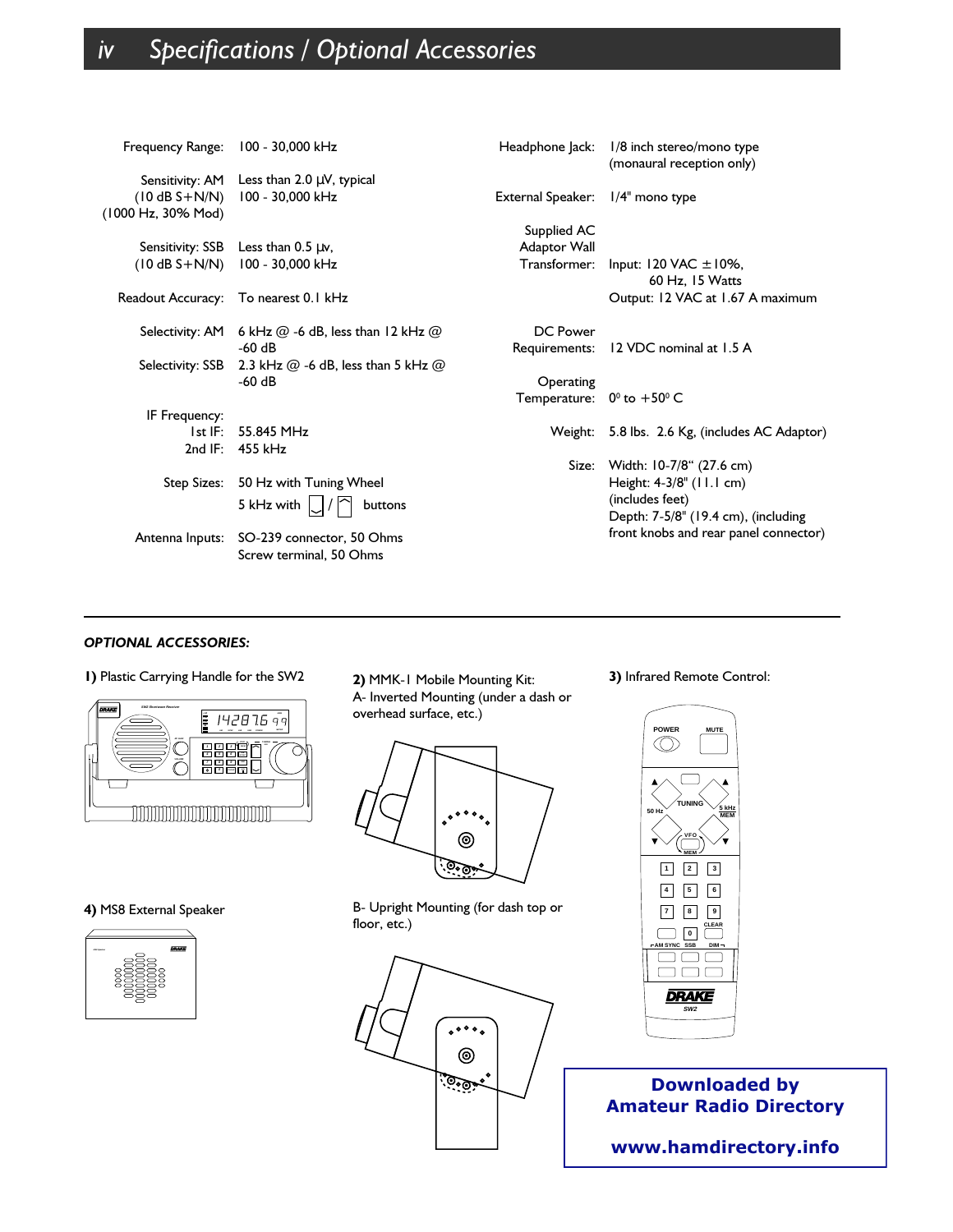## iv Specifications / Optional Accessories

| Frequency Range: 100 - 30,000 kHz     |                                                                      | Headphone Jack:                  | 1/8 inch stereo/mono type<br>(monaural reception only) |
|---------------------------------------|----------------------------------------------------------------------|----------------------------------|--------------------------------------------------------|
|                                       | Sensitivity: $AM$ Less than 2.0 $\mu$ V, typical                     |                                  |                                                        |
| $(10 dB S+N/N)$<br>(1000 Hz, 30% Mod) | 100 - 30,000 kHz                                                     | External Speaker: 1/4" mono type |                                                        |
|                                       |                                                                      | Supplied AC                      |                                                        |
|                                       | Sensitivity: SSB Less than 0.5 µv,                                   | Adaptor Wall                     |                                                        |
| $(10 dB S+N/N)$                       | 100 - 30,000 kHz                                                     | Transformer:                     | Input: 120 VAC $\pm$ 10%,<br>60 Hz, 15 Watts           |
|                                       | Readout Accuracy: To nearest 0.1 kHz                                 |                                  | Output: 12 VAC at 1.67 A maximum                       |
|                                       | Selectivity: AM 6 kHz $@$ -6 dB, less than 12 kHz $@$                | DC Power                         |                                                        |
|                                       | $-60$ dB                                                             |                                  | Requirements: 12 VDC nominal at 1.5 A                  |
| Selectivity: SSB                      | 2.3 kHz $@$ -6 dB, less than 5 kHz $@$                               |                                  |                                                        |
|                                       | $-60$ dB                                                             | Operating                        |                                                        |
|                                       |                                                                      | Temperature: $0^0$ to $+50^0$ C  |                                                        |
| IF Frequency:                         |                                                                      |                                  |                                                        |
| $I$ st IF:                            | 55.845 MHz                                                           |                                  | Weight: 5.8 lbs. 2.6 Kg, (includes AC Adaptor)         |
| 2nd $IF:$                             | 455 kHz                                                              |                                  |                                                        |
|                                       |                                                                      |                                  | Size: Width: 10-7/8" (27.6 cm)                         |
| Step Sizes:                           | 50 Hz with Tuning Wheel                                              |                                  | Height: 4-3/8" (11.1 cm)                               |
|                                       | 5 kHz with $\lfloor$<br>buttons                                      |                                  | (includes feet)<br>Depth: 7-5/8" (19.4 cm), (including |
|                                       | Antenna Inputs: SO-239 connector, 50 Ohms<br>Screw terminal, 50 Ohms |                                  | front knobs and rear panel connector)                  |
|                                       |                                                                      |                                  |                                                        |

#### OPTIONAL ACCESSORIES:

1) Plastic Carrying Handle for the SW2



2) MMK-1 Mobile Mounting Kit: A- Inverted Mounting (under a dash or overhead surface, etc.)



B- Upright Mounting (for dash top or floor, etc.)



#### 3) Infrared Remote Control:



**Downloaded by Amateur Radio Directory** 

**www.hamdirectory.info**

4) MS8 External Speaker

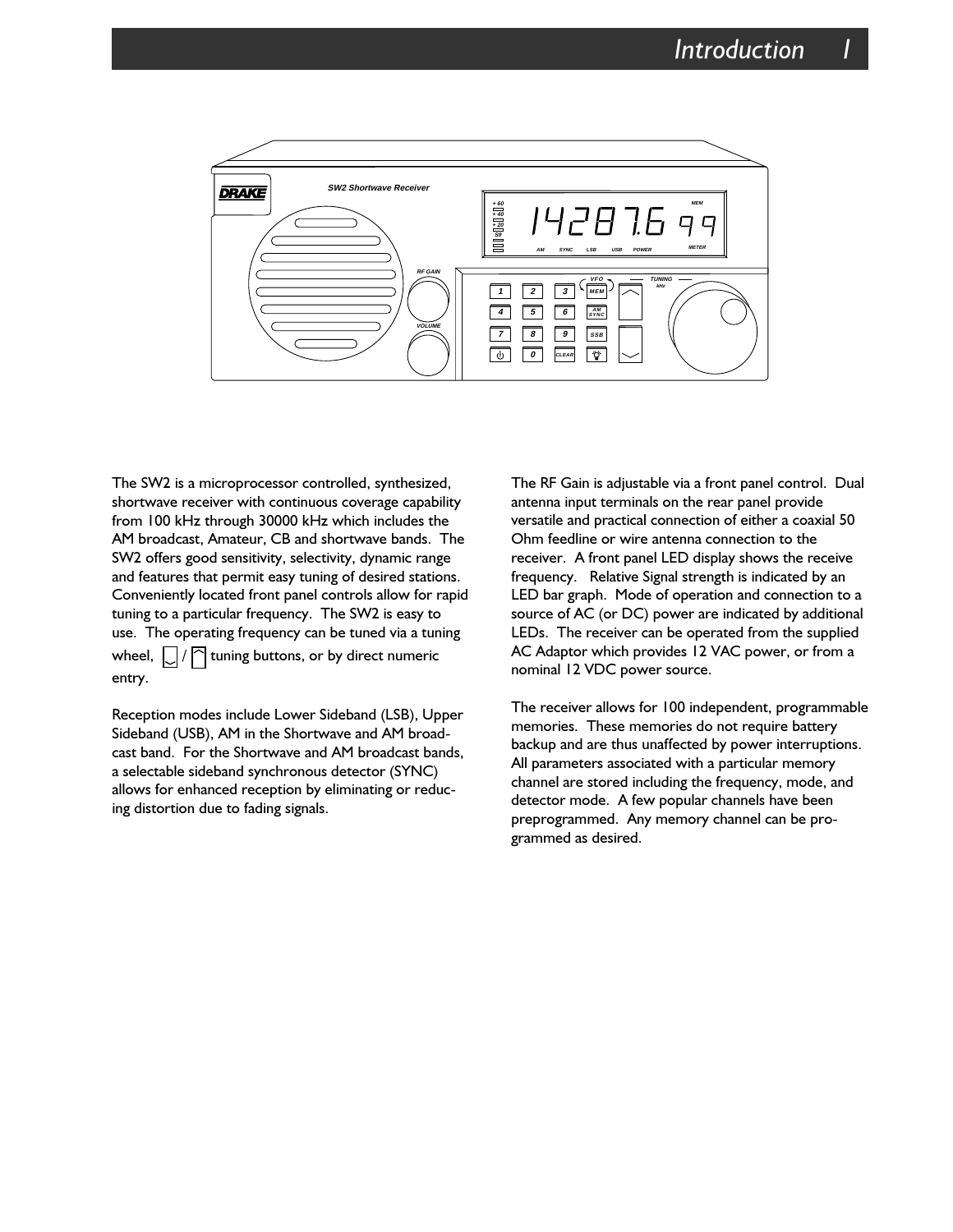

The SW2 is a microprocessor controlled, synthesized, shortwave receiver with continuous coverage capability from 100 kHz through 30000 kHz which includes the AM broadcast, Amateur, CB and shortwave bands. The SW2 offers good sensitivity, selectivity, dynamic range and features that permit easy tuning of desired stations. Conveniently located front panel controls allow for rapid tuning to a particular frequency. The SW2 is easy to use. The operating frequency can be tuned via a tuning wheel,  $\lfloor \cdot \rfloor / \lceil \cdot \rceil$  tuning buttons, or by direct numeric entry.

Reception modes include Lower Sideband (LSB), Upper Sideband (USB), AM in the Shortwave and AM broadcast band. For the Shortwave and AM broadcast bands, a selectable sideband synchronous detector (SYNC) allows for enhanced reception by eliminating or reducing distortion due to fading signals.

The RF Gain is adjustable via a front panel control. Dual antenna input terminals on the rear panel provide versatile and practical connection of either a coaxial 50 Ohm feedline or wire antenna connection to the receiver. A front panel LED display shows the receive frequency. Relative Signal strength is indicated by an LED bar graph. Mode of operation and connection to a source of AC (or DC) power are indicated by additional LEDs. The receiver can be operated from the supplied AC Adaptor which provides 12 VAC power, or from a nominal 12 VDC power source.

The receiver allows for 100 independent, programmable memories. These memories do not require battery backup and are thus unaffected by power interruptions. All parameters associated with a particular memory channel are stored including the frequency, mode, and detector mode. A few popular channels have been preprogrammed. Any memory channel can be programmed as desired.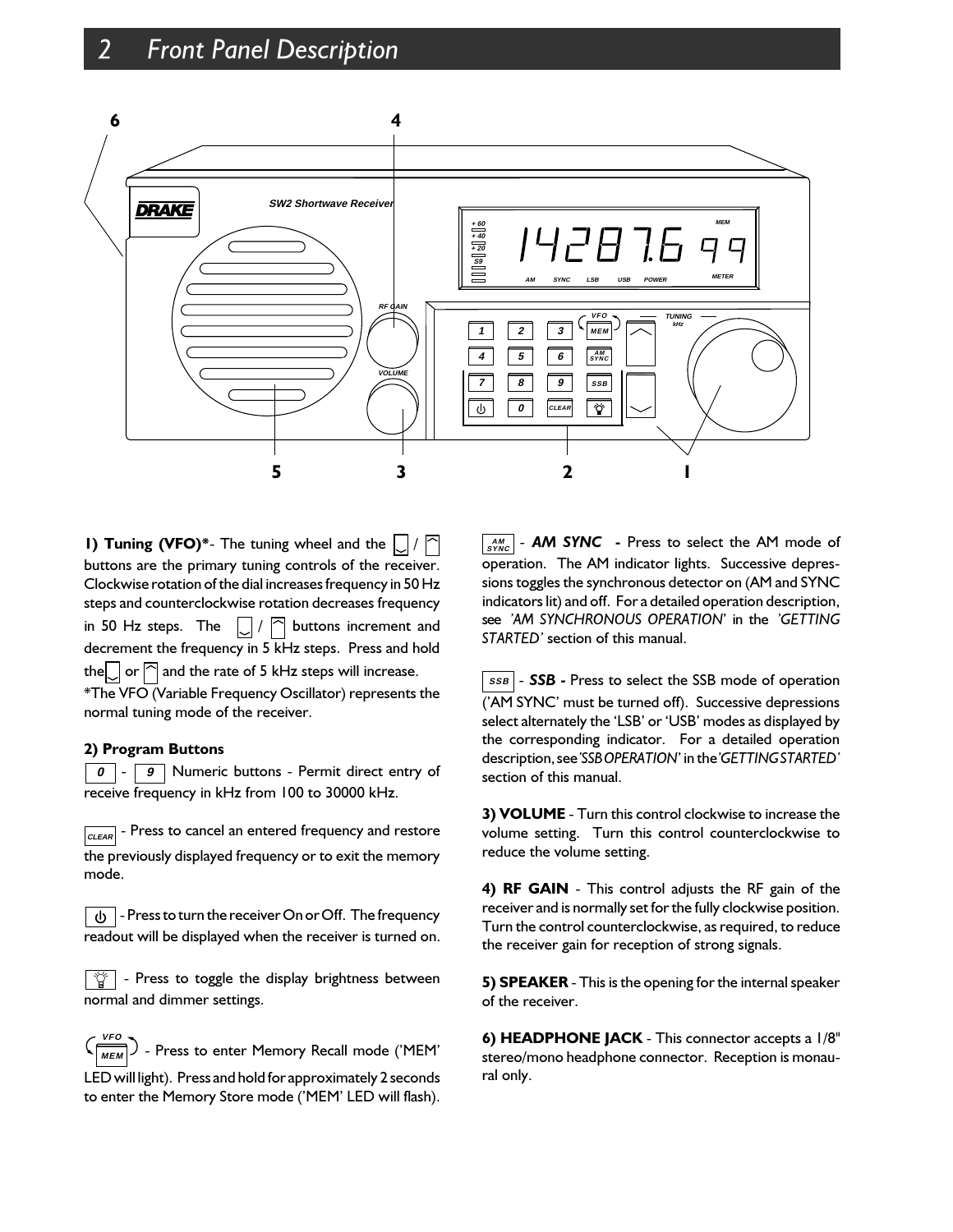## 2 Front Panel Description



1) Tuning (VFO)\*- The tuning wheel and the  $\bigcup$  /  $\bigcap$ buttons are the primary tuning controls of the receiver. Clockwise rotation of the dial increases frequency in 50 Hz steps and counterclockwise rotation decreases frequency in 50 Hz steps. The  $\vert \vert \vert / \vert \sim \vert$  buttons increment and decrement the frequency in 5 kHz steps. Press and hold the  $\log$  or  $\log$  and the rate of 5 kHz steps will increase. \*The VFO (Variable Frequency Oscillator) represents the normal tuning mode of the receiver.

#### 2) Program Buttons

**0**  $\vert \cdot \vert$  **9** Numeric buttons - Permit direct entry of receive frequency in kHz from 100 to 30000 kHz.

**CLEAR** - Press to cancel an entered frequency and restore the previously displayed frequency or to exit the memory mode.

 $\mid$   $\mid$   $\mid$   $\mid$  - Press to turn the receiver On or Off. The frequency readout will be displayed when the receiver is turned on.

 $\vert$   $\uparrow$   $\uparrow$   $\vert$  - Press to toggle the display brightness between normal and dimmer settings.

**MEM VFO** - Press to enter Memory Recall mode ('MEM' LED will light). Press and hold for approximately 2 seconds to enter the Memory Store mode ('MEM' LED will flash).

 $\frac{AM}{\text{SYNC}}$  - AM SYNC - Press to select the AM mode of operation. The AM indicator lights. Successive depressions toggles the synchronous detector on (AM and SYNC indicators lit) and off. For a detailed operation description, see 'AM SYNCHRONOUS OPERATION' in the 'GETTING STARTED' section of this manual.

**SSB** - SSB - Press to select the SSB mode of operation ('AM SYNC' must be turned off). Successive depressions select alternately the 'LSB' or 'USB' modes as displayed by the corresponding indicator. For a detailed operation description, see 'SSB OPERATION' in the 'GETTING STARTED' section of this manual.

3) VOLUME - Turn this control clockwise to increase the volume setting. Turn this control counterclockwise to reduce the volume setting.

4) RF GAIN - This control adjusts the RF gain of the receiver and is normally set for the fully clockwise position. Turn the control counterclockwise, as required, to reduce the receiver gain for reception of strong signals.

5) **SPEAKER** - This is the opening for the internal speaker of the receiver.

6) HEADPHONE JACK - This connector accepts a 1/8" stereo/mono headphone connector. Reception is monaural only.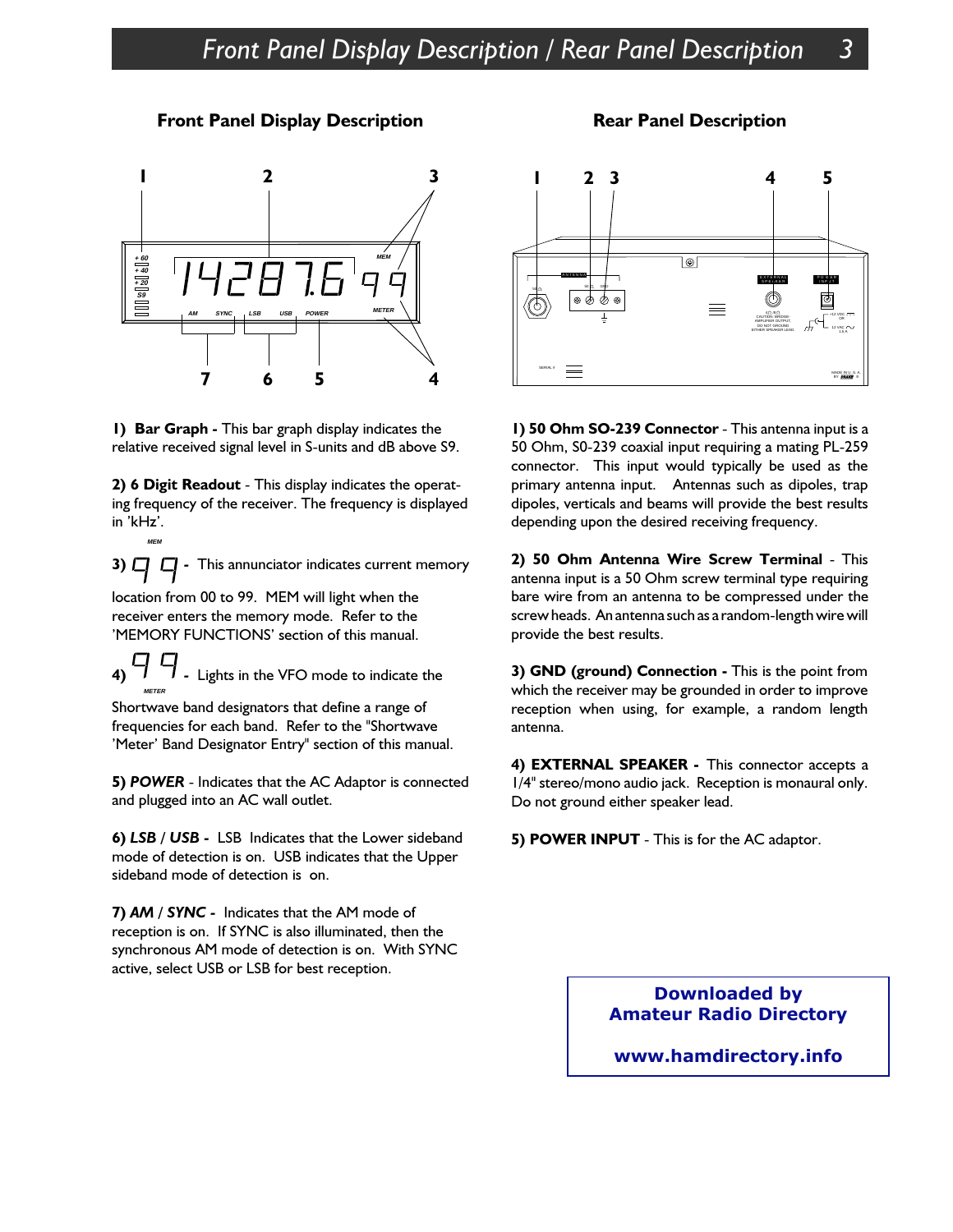#### **Front Panel Display Description The Construction Rear Panel Description**



1) Bar Graph - This bar graph display indicates the relative received signal level in S-units and dB above S9.

2) 6 Digit Readout - This display indicates the operating frequency of the receiver. The frequency is displayed in 'kHz'.

3)  $\Box$  - This annunciator indicates current memory

location from 00 to 99. MEM will light when the receiver enters the memory mode. Refer to the 'MEMORY FUNCTIONS' section of this manual.

**MEM**

4) **METER** - Lights in the VFO mode to indicate the

Shortwave band designators that define a range of frequencies for each band. Refer to the "Shortwave 'Meter' Band Designator Entry" section of this manual.

5) POWER - Indicates that the AC Adaptor is connected and plugged into an AC wall outlet.

6) LSB / USB - LSB Indicates that the Lower sideband mode of detection is on. USB indicates that the Upper sideband mode of detection is on.

7) AM / SYNC - Indicates that the AM mode of reception is on. If SYNC is also illuminated, then the synchronous AM mode of detection is on. With SYNC active, select USB or LSB for best reception.



1) 50 Ohm SO-239 Connector - This antenna input is a 50 Ohm, S0-239 coaxial input requiring a mating PL-259 connector. This input would typically be used as the primary antenna input. Antennas such as dipoles, trap dipoles, verticals and beams will provide the best results depending upon the desired receiving frequency.

2) 50 Ohm Antenna Wire Screw Terminal - This antenna input is a 50 Ohm screw terminal type requiring bare wire from an antenna to be compressed under the screw heads. An antenna such as a random-length wire will provide the best results.

3) GND (ground) Connection - This is the point from which the receiver may be grounded in order to improve reception when using, for example, a random length antenna.

4) **EXTERNAL SPEAKER** - This connector accepts a 1/4" stereo/mono audio jack. Reception is monaural only. Do not ground either speaker lead.

5) POWER INPUT - This is for the AC adaptor.

**Downloaded by Amateur Radio Directory** 

#### **www.hamdirectory.info**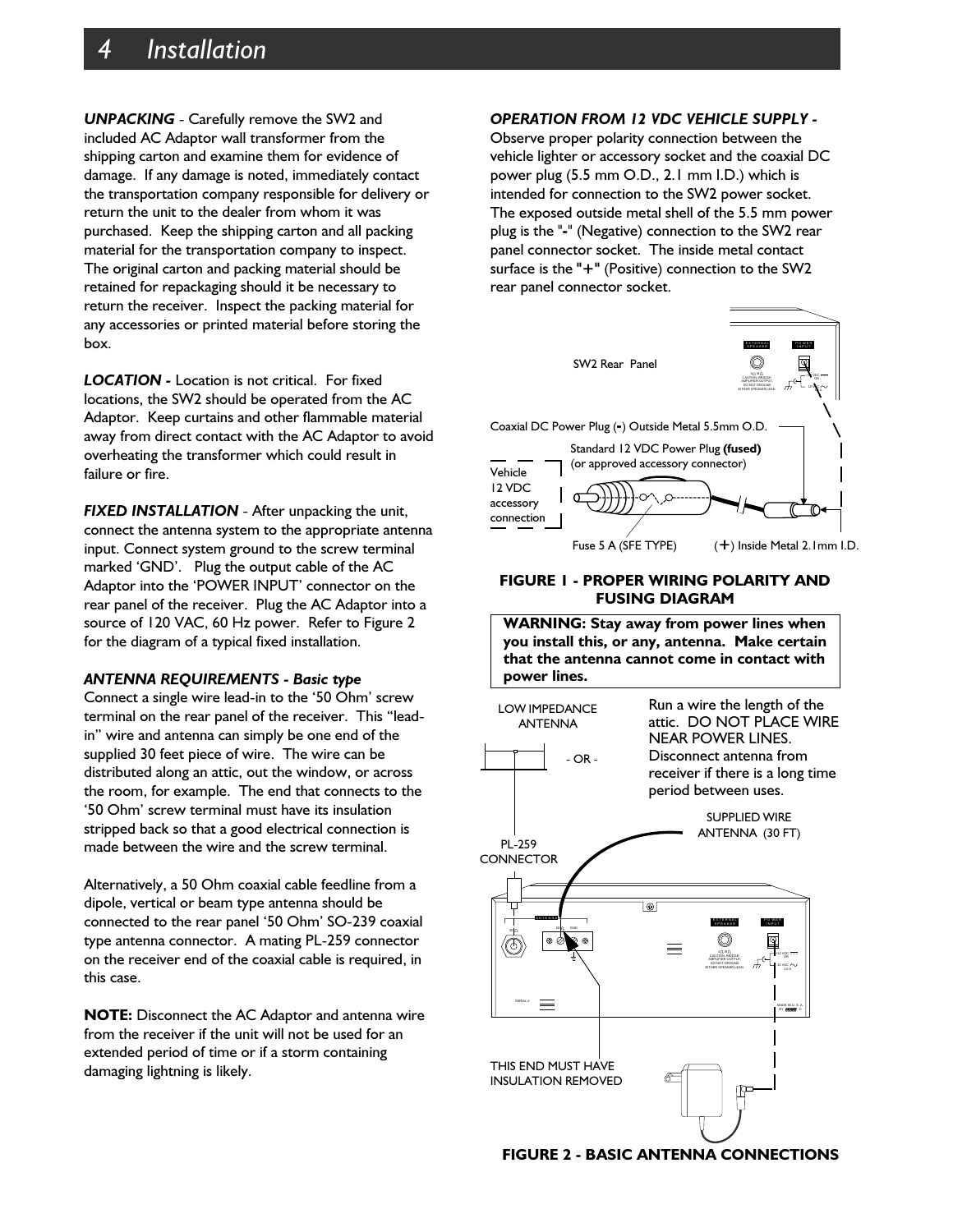## 4 Installation

UNPACKING - Carefully remove the SW2 and included AC Adaptor wall transformer from the shipping carton and examine them for evidence of damage. If any damage is noted, immediately contact the transportation company responsible for delivery or return the unit to the dealer from whom it was purchased. Keep the shipping carton and all packing material for the transportation company to inspect. The original carton and packing material should be retained for repackaging should it be necessary to return the receiver. Inspect the packing material for any accessories or printed material before storing the box.

LOCATION - Location is not critical. For fixed locations, the SW2 should be operated from the AC Adaptor. Keep curtains and other flammable material away from direct contact with the AC Adaptor to avoid overheating the transformer which could result in failure or fire.

FIXED INSTALLATION - After unpacking the unit, connect the antenna system to the appropriate antenna input. Connect system ground to the screw terminal marked 'GND'. Plug the output cable of the AC Adaptor into the 'POWER INPUT' connector on the rear panel of the receiver. Plug the AC Adaptor into a source of 120 VAC, 60 Hz power. Refer to Figure 2 for the diagram of a typical fixed installation.

#### ANTENNA REQUIREMENTS - Basic type

Connect a single wire lead-in to the '50 Ohm' screw terminal on the rear panel of the receiver. This "leadin" wire and antenna can simply be one end of the supplied 30 feet piece of wire. The wire can be distributed along an attic, out the window, or across the room, for example. The end that connects to the '50 Ohm' screw terminal must have its insulation stripped back so that a good electrical connection is made between the wire and the screw terminal.

Alternatively, a 50 Ohm coaxial cable feedline from a dipole, vertical or beam type antenna should be connected to the rear panel '50 Ohm' SO-239 coaxial type antenna connector. A mating PL-259 connector on the receiver end of the coaxial cable is required, in this case.

NOTE: Disconnect the AC Adaptor and antenna wire from the receiver if the unit will not be used for an extended period of time or if a storm containing damaging lightning is likely.

#### OPERATION FROM 12 VDC VEHICLE SUPPLY -

Observe proper polarity connection between the vehicle lighter or accessory socket and the coaxial DC power plug (5.5 mm O.D., 2.1 mm I.D.) which is intended for connection to the SW2 power socket. The exposed outside metal shell of the 5.5 mm power plug is the "-" (Negative) connection to the SW2 rear panel connector socket. The inside metal contact surface is the "+" (Positive) connection to the SW2 rear panel connector socket.



#### FIGURE 1 - PROPER WIRING POLARITY AND FUSING DIAGRAM



FIGURE 2 - BASIC ANTENNA CONNECTIONS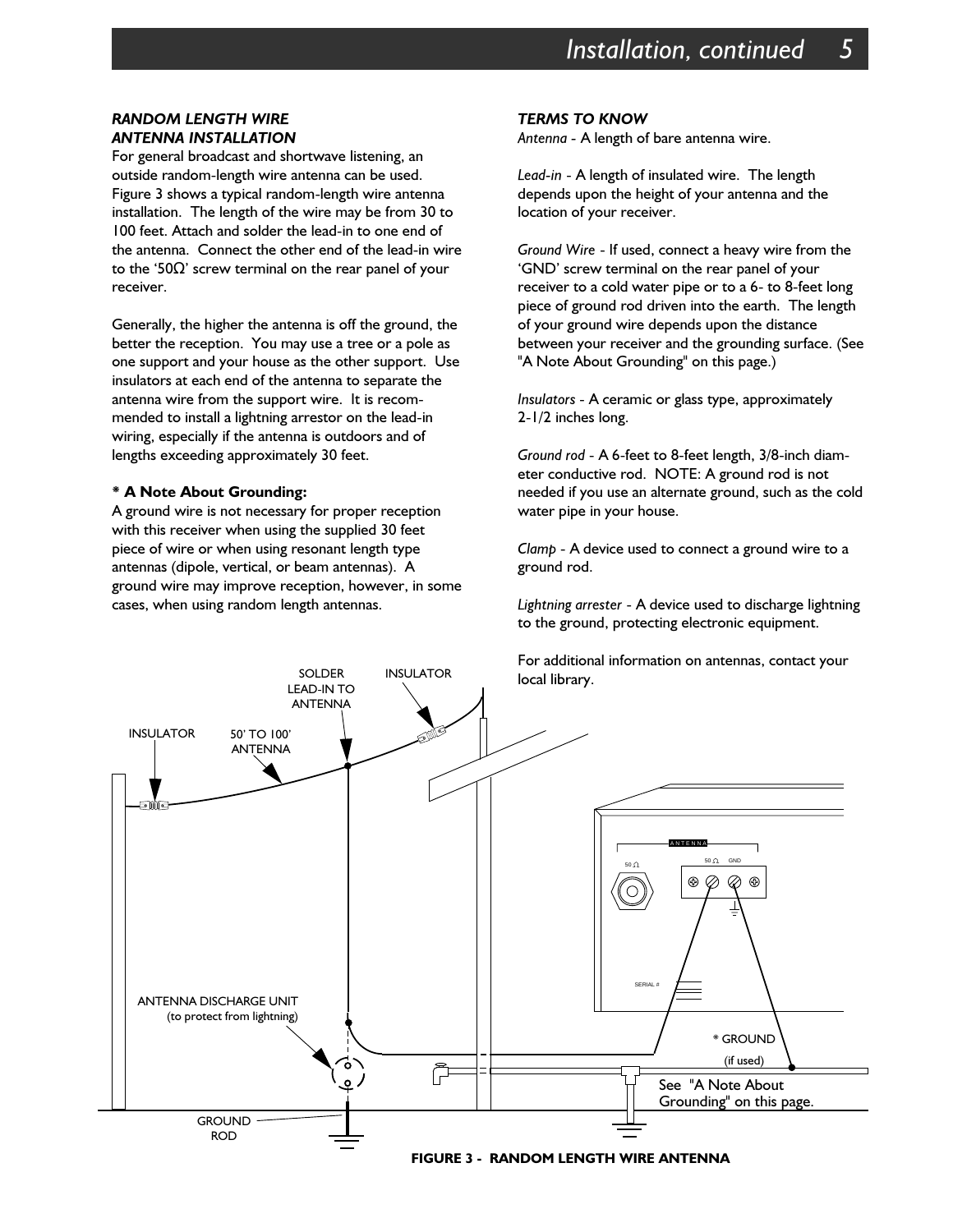#### RANDOM LENGTH WIRE ANTENNA INSTALLATION

For general broadcast and shortwave listening, an outside random-length wire antenna can be used. Figure 3 shows a typical random-length wire antenna installation. The length of the wire may be from 30 to 100 feet. Attach and solder the lead-in to one end of the antenna. Connect the other end of the lead-in wire to the '50 $\Omega$ ' screw terminal on the rear panel of your receiver.

Generally, the higher the antenna is off the ground, the better the reception. You may use a tree or a pole as one support and your house as the other support. Use insulators at each end of the antenna to separate the antenna wire from the support wire. It is recommended to install a lightning arrestor on the lead-in wiring, especially if the antenna is outdoors and of lengths exceeding approximately 30 feet.

#### \* A Note About Grounding:

A ground wire is not necessary for proper reception with this receiver when using the supplied 30 feet piece of wire or when using resonant length type antennas (dipole, vertical, or beam antennas). A ground wire may improve reception, however, in some cases, when using random length antennas.

#### TERMS TO KNOW

Antenna - A length of bare antenna wire.

Lead-in - A length of insulated wire. The length depends upon the height of your antenna and the location of your receiver.

Ground Wire - If used, connect a heavy wire from the 'GND' screw terminal on the rear panel of your receiver to a cold water pipe or to a 6- to 8-feet long piece of ground rod driven into the earth. The length of your ground wire depends upon the distance between your receiver and the grounding surface. (See "A Note About Grounding" on this page.)

Insulators - A ceramic or glass type, approximately 2-1/2 inches long.

Ground rod - A 6-feet to 8-feet length, 3/8-inch diameter conductive rod. NOTE: A ground rod is not needed if you use an alternate ground, such as the cold water pipe in your house.

Clamp - A device used to connect a ground wire to a ground rod.

Lightning arrester - A device used to discharge lightning to the ground, protecting electronic equipment.



FIGURE 3 - RANDOM LENGTH WIRE ANTENNA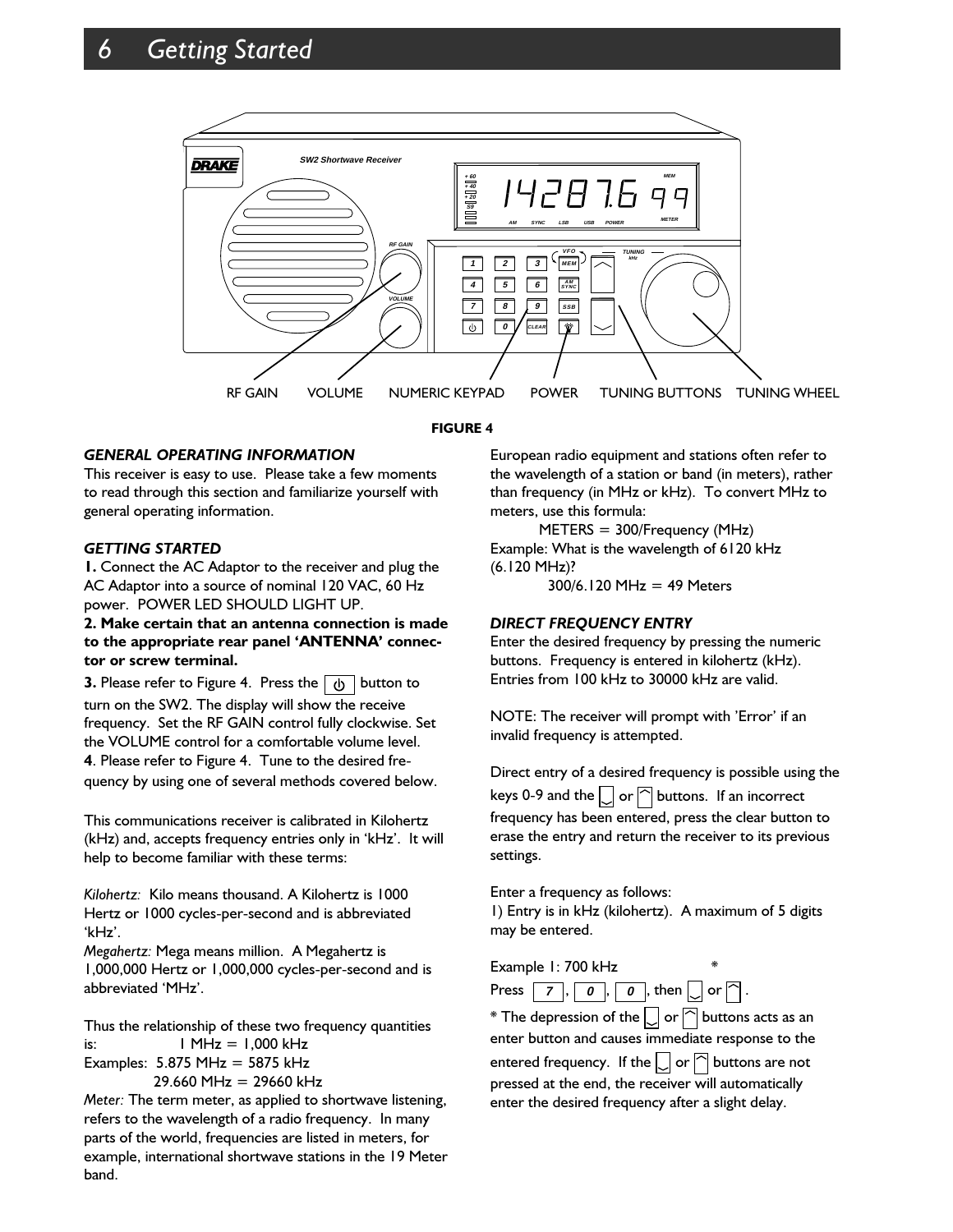

FIGURE 4

#### GENERAL OPERATING INFORMATION

This receiver is easy to use. Please take a few moments to read through this section and familiarize yourself with general operating information.

#### GETTING STARTED

1. Connect the AC Adaptor to the receiver and plug the AC Adaptor into a source of nominal 120 VAC, 60 Hz power. POWER LED SHOULD LIGHT UP.

2. Make certain that an antenna connection is made to the appropriate rear panel 'ANTENNA' connector or screw terminal.

**3.** Please refer to Figure 4. Press the  $\boxed{\upphi}$  button to turn on the SW2. The display will show the receive frequency. Set the RF GAIN control fully clockwise. Set the VOLUME control for a comfortable volume level. 4. Please refer to Figure 4. Tune to the desired frequency by using one of several methods covered below.

This communications receiver is calibrated in Kilohertz (kHz) and, accepts frequency entries only in 'kHz'. It will help to become familiar with these terms:

Kilohertz: Kilo means thousand. A Kilohertz is 1000 Hertz or 1000 cycles-per-second and is abbreviated kHz.

Megahertz: Mega means million. A Megahertz is 1,000,000 Hertz or 1,000,000 cycles-per-second and is abbreviated 'MHz'.

Thus the relationship of these two frequency quantities is: 1 MHz = 1,000 kHz Examples:  $5.875$  MHz = 5875 kHz

 $29.660$  MHz = 29660 kHz

Meter: The term meter, as applied to shortwave listening, refers to the wavelength of a radio frequency. In many parts of the world, frequencies are listed in meters, for example, international shortwave stations in the 19 Meter band.

European radio equipment and stations often refer to the wavelength of a station or band (in meters), rather than frequency (in MHz or kHz). To convert MHz to meters, use this formula:

 METERS = 300/Frequency (MHz) Example: What is the wavelength of 6120 kHz (6.120 MHz)?

 $300/6.120$  MHz = 49 Meters

#### DIRECT FREQUENCY ENTRY

Enter the desired frequency by pressing the numeric buttons. Frequency is entered in kilohertz (kHz). Entries from 100 kHz to 30000 kHz are valid.

NOTE: The receiver will prompt with 'Error' if an invalid frequency is attempted.

Direct entry of a desired frequency is possible using the keys 0-9 and the  $\Box$  or  $\Box$  buttons. If an incorrect frequency has been entered, press the clear button to erase the entry and return the receiver to its previous settings.

Enter a frequency as follows:

1) Entry is in kHz (kilohertz). A maximum of 5 digits may be entered.

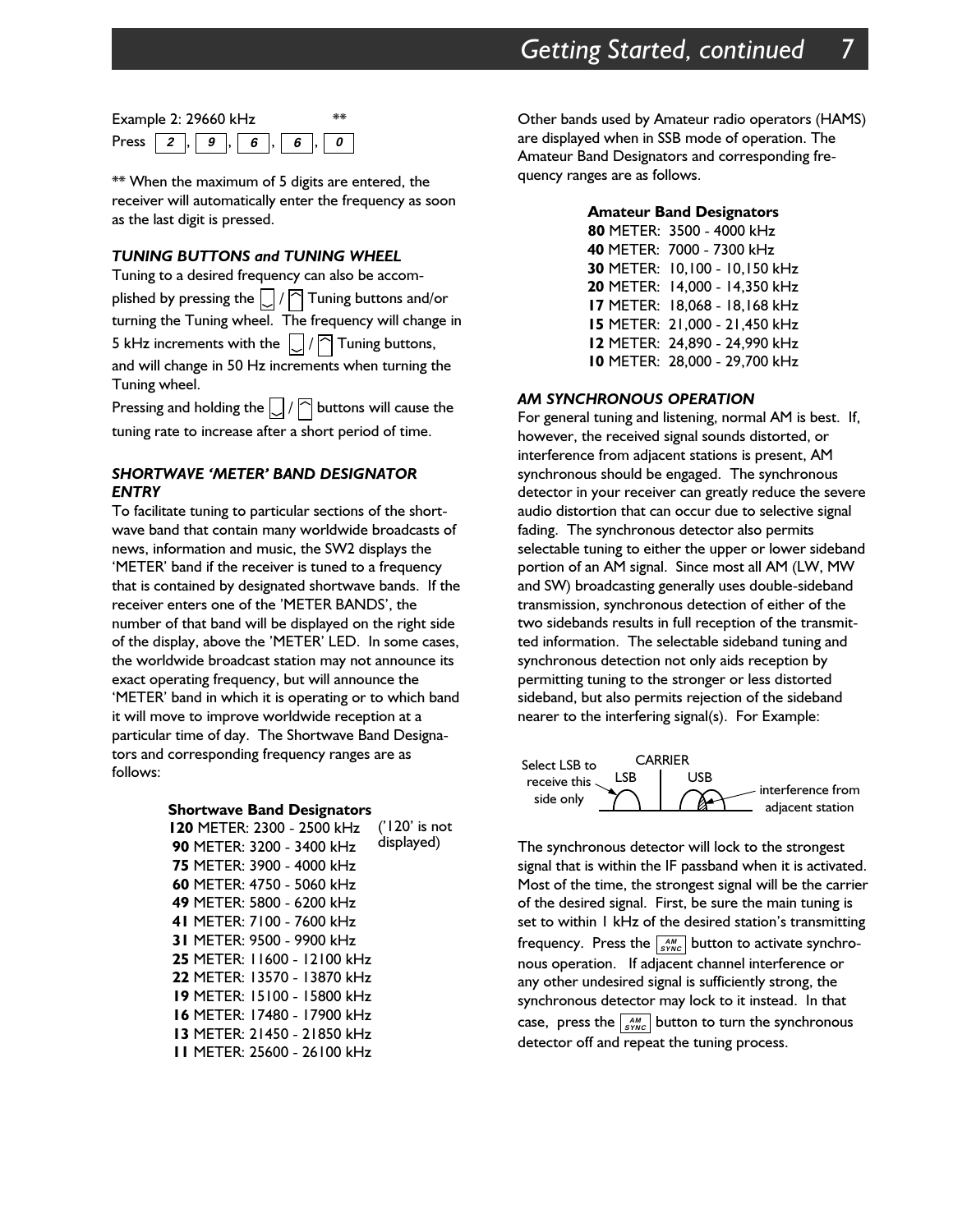| Example 2: 29660 kHz                                                      |  |  |  |  |  |  |  |
|---------------------------------------------------------------------------|--|--|--|--|--|--|--|
| Press $\boxed{2}$ , $\boxed{9}$ , $\boxed{6}$ , $\boxed{6}$ , $\boxed{0}$ |  |  |  |  |  |  |  |

\*\* When the maximum of 5 digits are entered, the receiver will automatically enter the frequency as soon as the last digit is pressed.

#### TUNING BUTTONS and TUNING WHEEL

Tuning to a desired frequency can also be accomplished by pressing the  $\Box / \Box$  Tuning buttons and/or turning the Tuning wheel. The frequency will change in 5 kHz increments with the  $\left| \bigcup \right| / \sqrt{\cap}$  Tuning buttons, and will change in 50 Hz increments when turning the Tuning wheel.

Pressing and holding the  $\bigcup / \bigcap$  buttons will cause the tuning rate to increase after a short period of time.

#### SHORTWAVE 'METER' BAND DESIGNATOR **ENTRY**

To facilitate tuning to particular sections of the shortwave band that contain many worldwide broadcasts of news, information and music, the SW2 displays the 'METER' band if the receiver is tuned to a frequency that is contained by designated shortwave bands. If the receiver enters one of the 'METER BANDS', the number of that band will be displayed on the right side of the display, above the 'METER' LED. In some cases, the worldwide broadcast station may not announce its exact operating frequency, but will announce the 'METER' band in which it is operating or to which band it will move to improve worldwide reception at a particular time of day. The Shortwave Band Designators and corresponding frequency ranges are as follows:

#### Shortwave Band Designators

| $('120'$ is not |
|-----------------|
| displayed)      |
|                 |
|                 |
|                 |
|                 |
|                 |
|                 |
|                 |
|                 |
|                 |
|                 |
|                 |
|                 |

Other bands used by Amateur radio operators (HAMS) are displayed when in SSB mode of operation. The Amateur Band Designators and corresponding frequency ranges are as follows.

| <b>Amateur Band Designators</b> |  |  |  |  |
|---------------------------------|--|--|--|--|
| 80 METER: 3500 - 4000 kHz       |  |  |  |  |
| 40 METER: 7000 - 7300 kHz       |  |  |  |  |
| 30 METER: 10,100 - 10,150 kHz   |  |  |  |  |
| 20 METER: 14,000 - 14,350 kHz   |  |  |  |  |
| 17 METER: 18,068 - 18,168 kHz   |  |  |  |  |
| I5 METER: 21,000 - 21,450 kHz   |  |  |  |  |
| 12 METER: 24,890 - 24,990 kHz   |  |  |  |  |
| 10 METER: 28,000 - 29,700 kHz   |  |  |  |  |

#### AM SYNCHRONOUS OPERATION

For general tuning and listening, normal AM is best. If, however, the received signal sounds distorted, or interference from adjacent stations is present, AM synchronous should be engaged. The synchronous detector in your receiver can greatly reduce the severe audio distortion that can occur due to selective signal fading. The synchronous detector also permits selectable tuning to either the upper or lower sideband portion of an AM signal. Since most all AM (LW, MW and SW) broadcasting generally uses double-sideband transmission, synchronous detection of either of the two sidebands results in full reception of the transmitted information. The selectable sideband tuning and synchronous detection not only aids reception by permitting tuning to the stronger or less distorted sideband, but also permits rejection of the sideband nearer to the interfering signal(s). For Example:



The synchronous detector will lock to the strongest signal that is within the IF passband when it is activated. Most of the time, the strongest signal will be the carrier of the desired signal. First, be sure the main tuning is set to within 1 kHz of the desired station's transmitting frequency. Press the  $\left| \frac{AM}{SYMC} \right|$  button to activate synchronous operation. If adjacent channel interference or any other undesired signal is sufficiently strong, the synchronous detector may lock to it instead. In that case, press the  $\frac{A M}{S Y N C}$  button to turn the synchronous detector off and repeat the tuning process.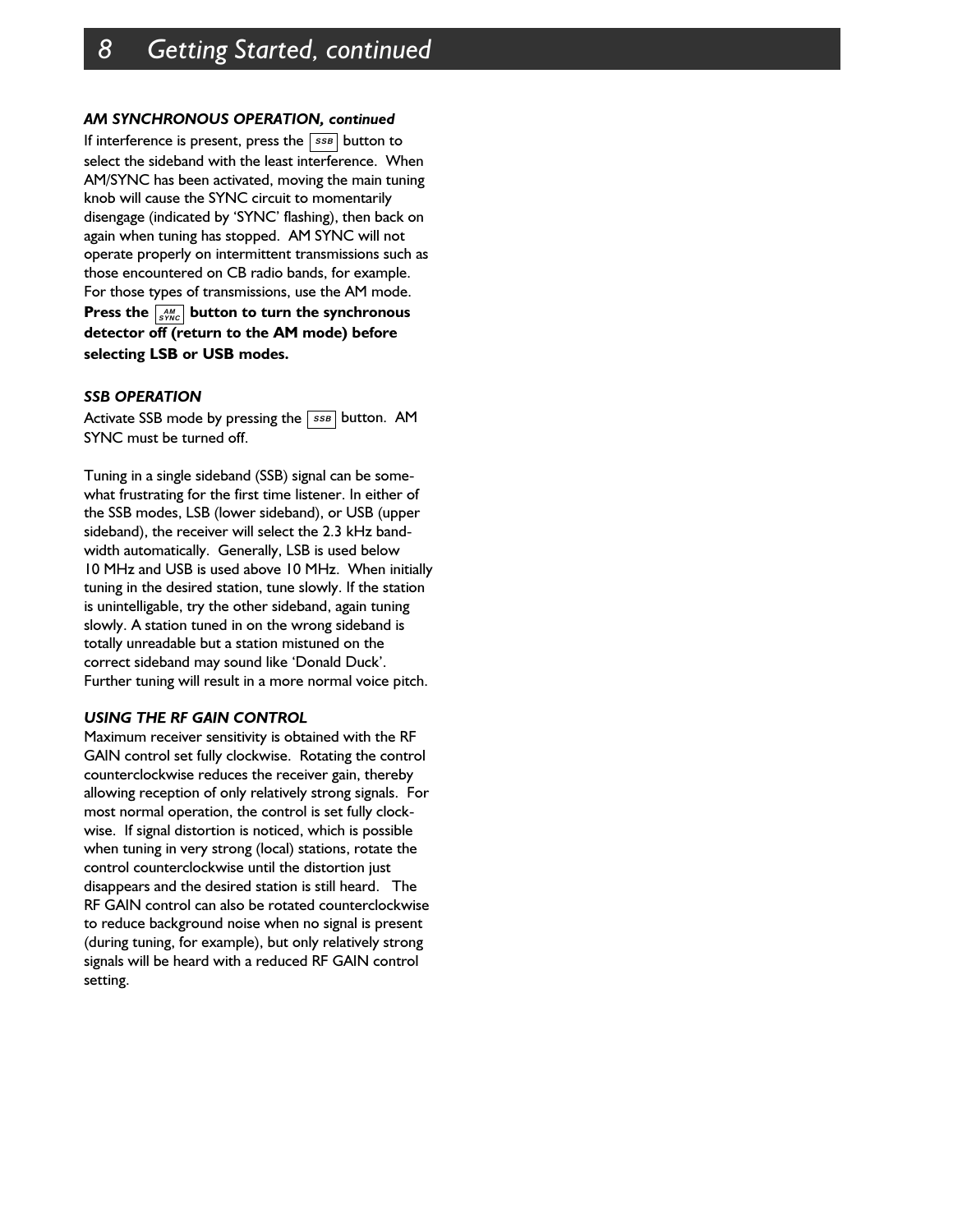#### AM SYNCHRONOUS OPERATION, continued

If interference is present, press the  $\sqrt{ss}$  button to select the sideband with the least interference. When AM/SYNC has been activated, moving the main tuning knob will cause the SYNC circuit to momentarily disengage (indicated by 'SYNC' flashing), then back on again when tuning has stopped. AM SYNC will not operate properly on intermittent transmissions such as those encountered on CB radio bands, for example. For those types of transmissions, use the AM mode. Press the  $\left| \begin{smallmatrix} A \mathsf{M} \ s \mathsf{YNC} \end{smallmatrix} \right|$  button to turn the synchronous detector off (return to the AM mode) before selecting LSB or USB modes.

#### SSB OPERATION

Activate SSB mode by pressing the *SSB* button. AM SYNC must be turned off.

Tuning in a single sideband (SSB) signal can be somewhat frustrating for the first time listener. In either of the SSB modes, LSB (lower sideband), or USB (upper sideband), the receiver will select the 2.3 kHz bandwidth automatically. Generally, LSB is used below 10 MHz and USB is used above 10 MHz. When initially tuning in the desired station, tune slowly. If the station is unintelligable, try the other sideband, again tuning slowly. A station tuned in on the wrong sideband is totally unreadable but a station mistuned on the correct sideband may sound like 'Donald Duck'. Further tuning will result in a more normal voice pitch.

#### USING THE RF GAIN CONTROL

Maximum receiver sensitivity is obtained with the RF GAIN control set fully clockwise. Rotating the control counterclockwise reduces the receiver gain, thereby allowing reception of only relatively strong signals. For most normal operation, the control is set fully clockwise. If signal distortion is noticed, which is possible when tuning in very strong (local) stations, rotate the control counterclockwise until the distortion just disappears and the desired station is still heard. The RF GAIN control can also be rotated counterclockwise to reduce background noise when no signal is present (during tuning, for example), but only relatively strong signals will be heard with a reduced RF GAIN control setting.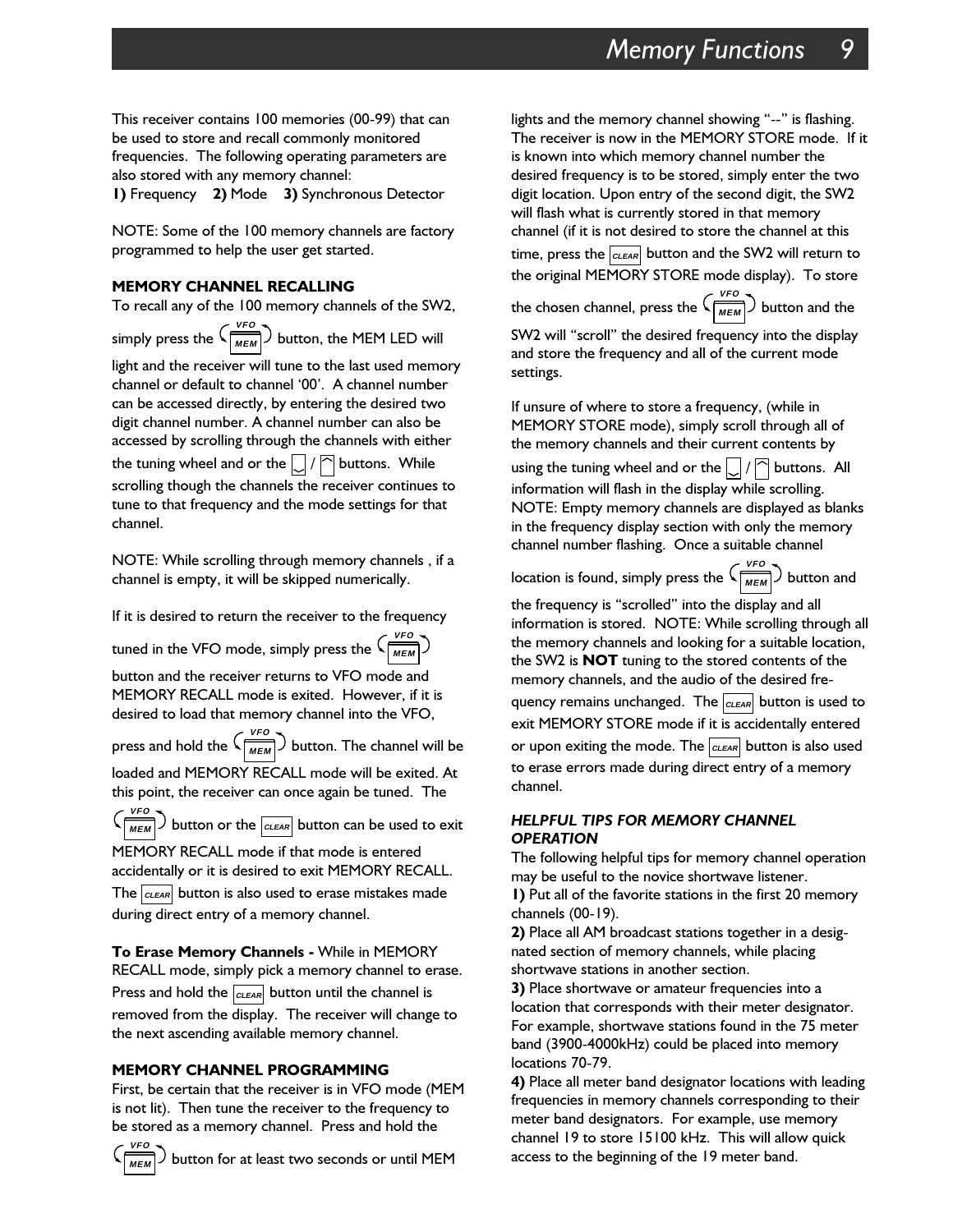This receiver contains 100 memories (00-99) that can be used to store and recall commonly monitored frequencies. The following operating parameters are also stored with any memory channel: 1) Frequency 2) Mode 3) Synchronous Detector

NOTE: Some of the 100 memory channels are factory programmed to help the user get started.

#### MEMORY CHANNEL RECALLING

To recall any of the 100 memory channels of the SW2,

 $\begin{pmatrix} \frac{\sqrt{FO}}{\sqrt{HEM}} \end{pmatrix}$  button, the MEM LED will light and the receiver will tune to the last used memory channel or default to channel '00'. A channel number can be accessed directly, by entering the desired two digit channel number. A channel number can also be accessed by scrolling through the channels with either the tuning wheel and or the  $\left| \bigcup \right| / \sqrt{\bigcap}$  buttons. While

scrolling though the channels the receiver continues to tune to that frequency and the mode settings for that channel.

NOTE: While scrolling through memory channels , if a channel is empty, it will be skipped numerically.

If it is desired to return the receiver to the frequency  $t$ uned in the VFO mode, simply press the  $\sqrt{\frac{VFO}{MEM}}$ button and the receiver returns to VFO mode and MEMORY RECALL mode is exited. However, if it is desired to load that memory channel into the VFO, press and hold the  $\binom{VFO}{MEM}$  button. The channel will be loaded and MEMORY RECALL mode will be exited. At this point, the receiver can once again be tuned. The **MEM VFO** button or the **CLEAR** button can be used to exit

MEMORY RECALL mode if that mode is entered accidentally or it is desired to exit MEMORY RECALL. The  $|_{CLEAR}|$  button is also used to erase mistakes made during direct entry of a memory channel.

To Erase Memory Channels - While in MEMORY RECALL mode, simply pick a memory channel to erase. Press and hold the  $\sqrt{CLEAR}$  button until the channel is removed from the display. The receiver will change to the next ascending available memory channel.

#### MEMORY CHANNEL PROGRAMMING

First, be certain that the receiver is in VFO mode (MEM is not lit). Then tune the receiver to the frequency to be stored as a memory channel. Press and hold the

**MEM VFO**  $\overline{D}$  button for at least two seconds or until MEM lights and the memory channel showing "--" is flashing. The receiver is now in the MEMORY STORE mode. If it is known into which memory channel number the desired frequency is to be stored, simply enter the two digit location. Upon entry of the second digit, the SW2 will flash what is currently stored in that memory channel (if it is not desired to store the channel at this time, press the  $|_{\text{CLEAR}}|$  button and the SW2 will return to the original MEMORY STORE mode display). To store

the chosen channel, press the  $\binom{VFO}{MEM}$  button and the SW2 will "scroll" the desired frequency into the display and store the frequency and all of the current mode settings.

If unsure of where to store a frequency, (while in MEMORY STORE mode), simply scroll through all of the memory channels and their current contents by using the tuning wheel and or the  $\left| \bigcup \big / \bigcap \right|$  buttons. All information will flash in the display while scrolling. NOTE: Empty memory channels are displayed as blanks in the frequency display section with only the memory channel number flashing. Once a suitable channel

location is found, simply press the  $\binom{\text{VFO}}{\text{MEM}}$  button and

the frequency is "scrolled" into the display and all information is stored. NOTE: While scrolling through all the memory channels and looking for a suitable location, the SW2 is **NOT** tuning to the stored contents of the memory channels, and the audio of the desired frequency remains unchanged. The *cLEAR* button is used to exit MEMORY STORE mode if it is accidentally entered or upon exiting the mode. The *cLEAR* button is also used to erase errors made during direct entry of a memory channel.

#### HELPFUL TIPS FOR MEMORY CHANNEL **OPERATION**

The following helpful tips for memory channel operation may be useful to the novice shortwave listener.

1) Put all of the favorite stations in the first 20 memory channels (00-19).

2) Place all AM broadcast stations together in a designated section of memory channels, while placing shortwave stations in another section.

3) Place shortwave or amateur frequencies into a location that corresponds with their meter designator. For example, shortwave stations found in the 75 meter band (3900-4000kHz) could be placed into memory locations 70-79.

4) Place all meter band designator locations with leading frequencies in memory channels corresponding to their meter band designators. For example, use memory channel 19 to store 15100 kHz. This will allow quick access to the beginning of the 19 meter band.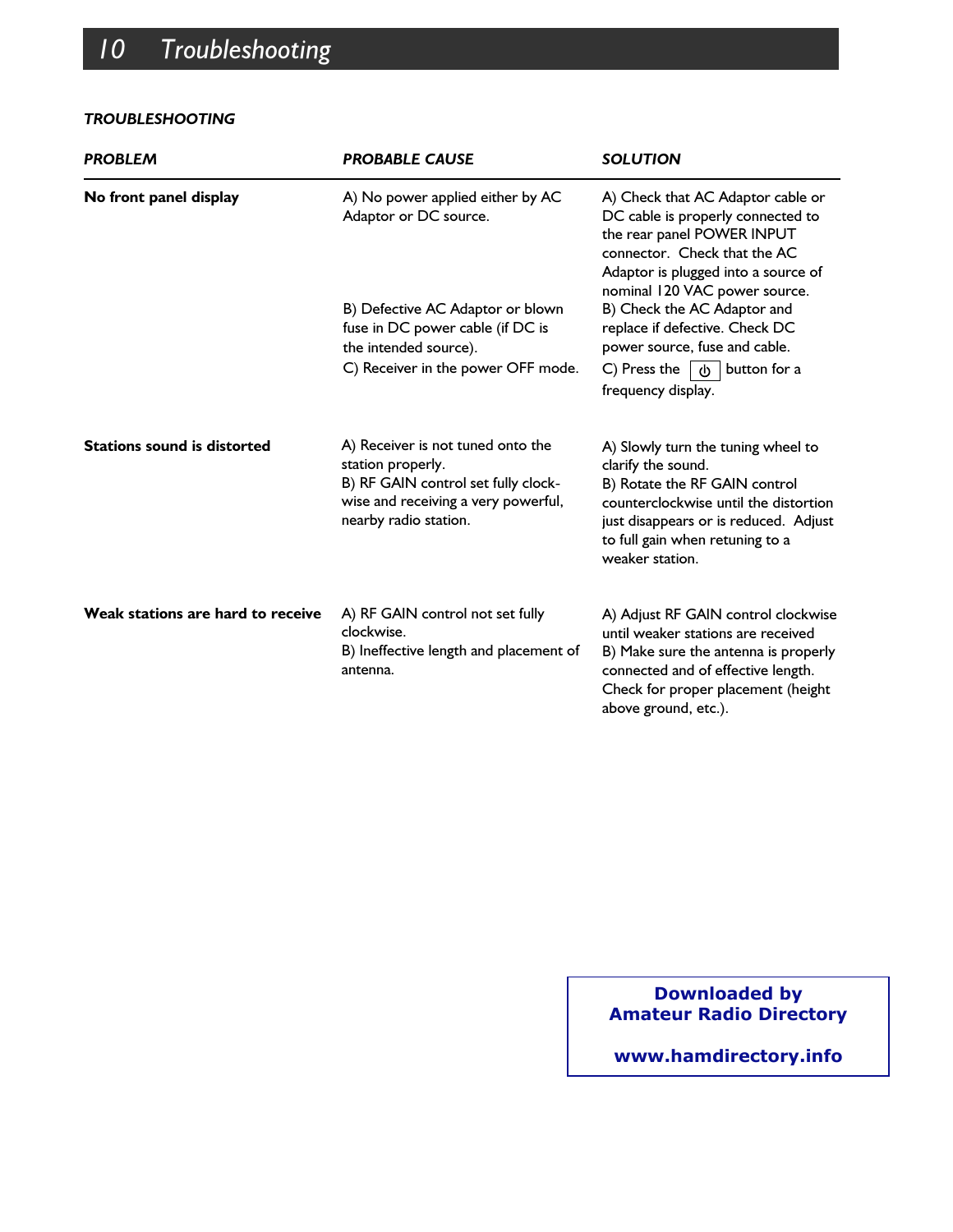#### TROUBLESHOOTING

| <b>PROBLEM</b>                     | <b>PROBABLE CAUSE</b>                                                                                                                                         | <b>SOLUTION</b>                                                                                                                                                                                                                   |
|------------------------------------|---------------------------------------------------------------------------------------------------------------------------------------------------------------|-----------------------------------------------------------------------------------------------------------------------------------------------------------------------------------------------------------------------------------|
| No front panel display             | A) No power applied either by AC<br>Adaptor or DC source.                                                                                                     | A) Check that AC Adaptor cable or<br>DC cable is properly connected to<br>the rear panel POWER INPUT<br>connector. Check that the AC<br>Adaptor is plugged into a source of<br>nominal 120 VAC power source.                      |
|                                    | B) Defective AC Adaptor or blown<br>fuse in DC power cable (if DC is<br>the intended source).                                                                 | B) Check the AC Adaptor and<br>replace if defective. Check DC<br>power source, fuse and cable.                                                                                                                                    |
|                                    | C) Receiver in the power OFF mode.                                                                                                                            | C) Press the<br>button for a<br>d).<br>frequency display.                                                                                                                                                                         |
| <b>Stations sound is distorted</b> | A) Receiver is not tuned onto the<br>station properly.<br>B) RF GAIN control set fully clock-<br>wise and receiving a very powerful,<br>nearby radio station. | A) Slowly turn the tuning wheel to<br>clarify the sound.<br>B) Rotate the RF GAIN control<br>counterclockwise until the distortion<br>just disappears or is reduced. Adjust<br>to full gain when retuning to a<br>weaker station. |
| Weak stations are hard to receive  | A) RF GAIN control not set fully<br>clockwise.<br>B) Ineffective length and placement of<br>antenna.                                                          | A) Adjust RF GAIN control clockwise<br>until weaker stations are received<br>B) Make sure the antenna is properly<br>connected and of effective length.<br>Check for proper placement (height<br>above ground, etc.).             |

**Downloaded by Amateur Radio Directory** 

**www.hamdirectory.info**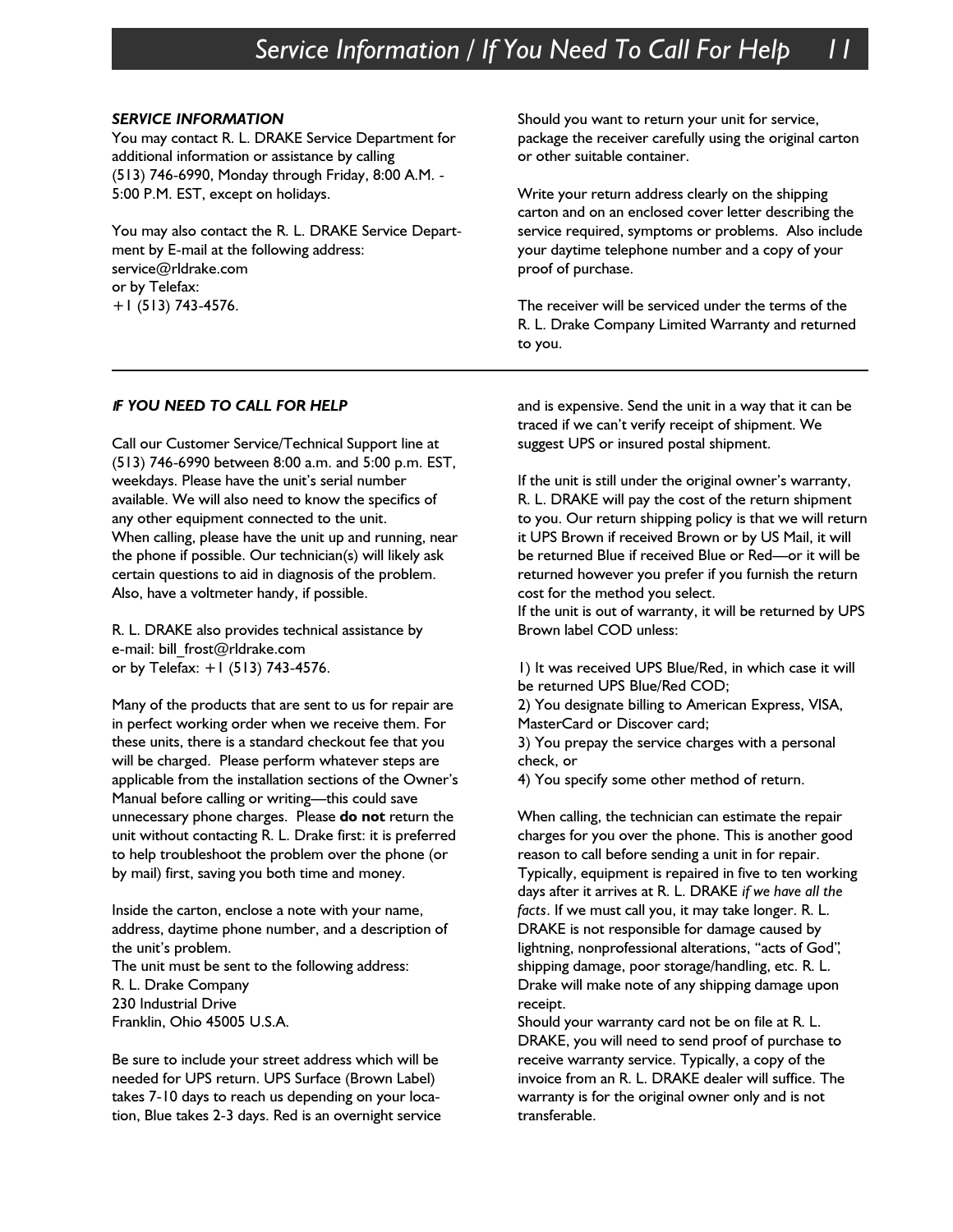## Service Information / If You Need To Call For Help

#### SERVICE INFORMATION

You may contact R. L. DRAKE Service Department for additional information or assistance by calling (513) 746-6990, Monday through Friday, 8:00 A.M. - 5:00 P.M. EST, except on holidays.

You may also contact the R. L. DRAKE Service Department by E-mail at the following address: service@rldrake.com or by Telefax: +1 (513) 743-4576.

### package the receiver carefully using the original carton or other suitable container.

Should you want to return your unit for service,

Write your return address clearly on the shipping carton and on an enclosed cover letter describing the service required, symptoms or problems. Also include your daytime telephone number and a copy of your proof of purchase.

The receiver will be serviced under the terms of the R. L. Drake Company Limited Warranty and returned to you.

#### **<sup>I</sup>**F YOU NEED TO CALL FOR HELP

Call our Customer Service/Technical Support line at (513) 746-6990 between 8:00 a.m. and 5:00 p.m. EST, weekdays. Please have the unit's serial number available. We will also need to know the specifics of any other equipment connected to the unit. When calling, please have the unit up and running, near the phone if possible. Our technician(s) will likely ask certain questions to aid in diagnosis of the problem. Also, have a voltmeter handy, if possible.

R. L. DRAKE also provides technical assistance by e-mail: bill\_frost@rldrake.com or by Telefax: +1 (513) 743-4576.

Many of the products that are sent to us for repair are in perfect working order when we receive them. For these units, there is a standard checkout fee that you will be charged. Please perform whatever steps are applicable from the installation sections of the Owner's Manual before calling or writing—this could save unnecessary phone charges. Please do not return the unit without contacting R. L. Drake first: it is preferred to help troubleshoot the problem over the phone (or by mail) first, saving you both time and money.

Inside the carton, enclose a note with your name, address, daytime phone number, and a description of the unit's problem. The unit must be sent to the following address:

R. L. Drake Company 230 Industrial Drive Franklin, Ohio 45005 U.S.A.

Be sure to include your street address which will be needed for UPS return. UPS Surface (Brown Label) takes 7-10 days to reach us depending on your location, Blue takes 2-3 days. Red is an overnight service and is expensive. Send the unit in a way that it can be traced if we can't verify receipt of shipment. We suggest UPS or insured postal shipment.

If the unit is still under the original owner's warranty, R. L. DRAKE will pay the cost of the return shipment to you. Our return shipping policy is that we will return it UPS Brown if received Brown or by US Mail, it will be returned Blue if received Blue or Red-or it will be returned however you prefer if you furnish the return cost for the method you select.

If the unit is out of warranty, it will be returned by UPS Brown label COD unless:

1) It was received UPS Blue/Red, in which case it will be returned UPS Blue/Red COD;

2) You designate billing to American Express, VISA, MasterCard or Discover card;

3) You prepay the service charges with a personal check, or

4) You specify some other method of return.

When calling, the technician can estimate the repair charges for you over the phone. This is another good reason to call before sending a unit in for repair. Typically, equipment is repaired in five to ten working days after it arrives at R. L. DRAKE if we have all the facts. If we must call you, it may take longer. R. L. DRAKE is not responsible for damage caused by lightning, nonprofessional alterations, "acts of God", shipping damage, poor storage/handling, etc. R. L. Drake will make note of any shipping damage upon receipt.

Should your warranty card not be on file at R. L. DRAKE, you will need to send proof of purchase to receive warranty service. Typically, a copy of the invoice from an R. L. DRAKE dealer will suffice. The warranty is for the original owner only and is not transferable.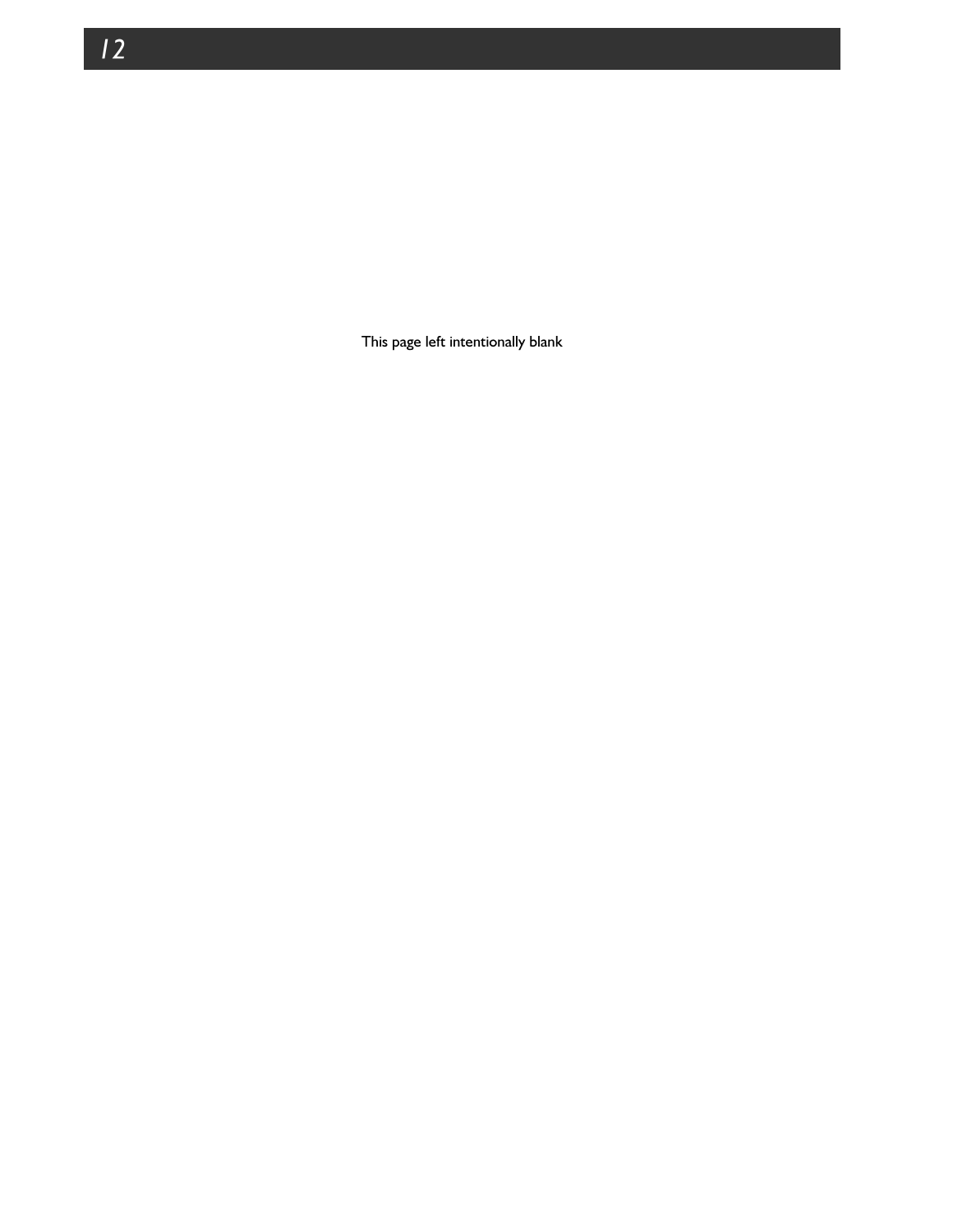12

This page left intentionally blank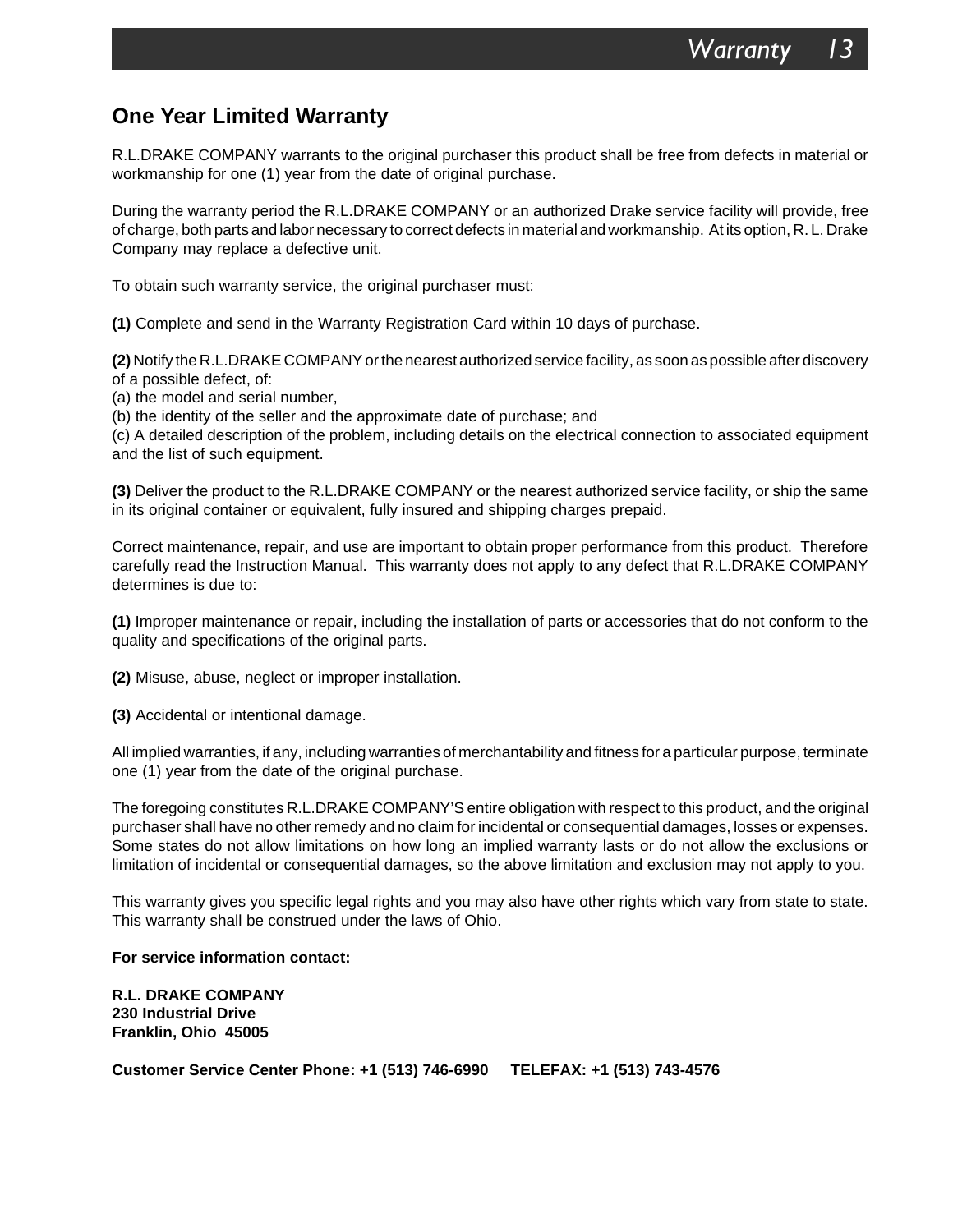#### **One Year Limited Warranty**

R.L.DRAKE COMPANY warrants to the original purchaser this product shall be free from defects in material or workmanship for one (1) year from the date of original purchase.

During the warranty period the R.L.DRAKE COMPANY or an authorized Drake service facility will provide, free of charge, both parts and labor necessary to correct defects in material and workmanship. At its option, R. L. Drake Company may replace a defective unit.

To obtain such warranty service, the original purchaser must:

**(1)** Complete and send in the Warranty Registration Card within 10 days of purchase.

**(2)** Notify the R.L.DRAKE COMPANY or the nearest authorized service facility, as soon as possible after discovery of a possible defect, of:

(a) the model and serial number,

(b) the identity of the seller and the approximate date of purchase; and

(c) A detailed description of the problem, including details on the electrical connection to associated equipment and the list of such equipment.

**(3)** Deliver the product to the R.L.DRAKE COMPANY or the nearest authorized service facility, or ship the same in its original container or equivalent, fully insured and shipping charges prepaid.

Correct maintenance, repair, and use are important to obtain proper performance from this product. Therefore carefully read the Instruction Manual. This warranty does not apply to any defect that R.L.DRAKE COMPANY determines is due to:

**(1)** Improper maintenance or repair, including the installation of parts or accessories that do not conform to the quality and specifications of the original parts.

**(2)** Misuse, abuse, neglect or improper installation.

**(3)** Accidental or intentional damage.

All implied warranties, if any, including warranties of merchantability and fitness for a particular purpose, terminate one (1) year from the date of the original purchase.

The foregoing constitutes R.L.DRAKE COMPANY'S entire obligation with respect to this product, and the original purchaser shall have no other remedy and no claim for incidental or consequential damages, losses or expenses. Some states do not allow limitations on how long an implied warranty lasts or do not allow the exclusions or limitation of incidental or consequential damages, so the above limitation and exclusion may not apply to you.

This warranty gives you specific legal rights and you may also have other rights which vary from state to state. This warranty shall be construed under the laws of Ohio.

#### **For service information contact:**

**R.L. DRAKE COMPANY 230 Industrial Drive Franklin, Ohio 45005**

**Customer Service Center Phone: +1 (513) 746-6990 TELEFAX: +1 (513) 743-4576**